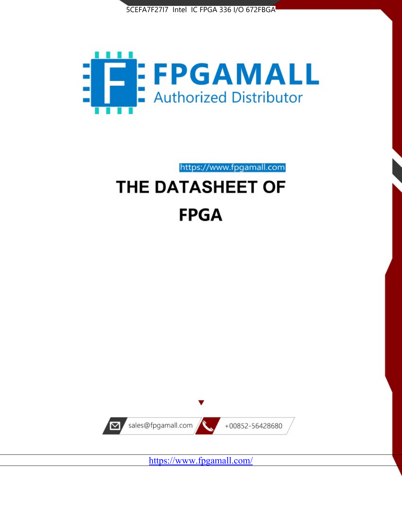



https://www.fpgamall.com

# THE DATASHEET OF **FPGA**



<https://www.fpgamall.com/>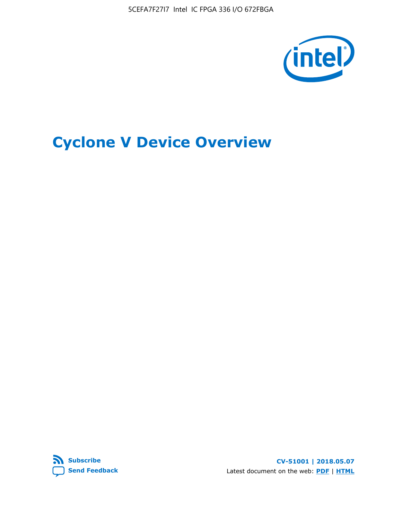5CEFA7F27I7 Intel IC FPGA 336 I/O 672FBGA



# **Cyclone V Device Overview**



**CV-51001 | 2018.05.07** Latest document on the web: **[PDF](https://www.altera.com/en_US/pdfs/literature/hb/cyclone-v/cv_51001.pdf)** | **[HTML](https://www.altera.com/documentation/sam1403480548153.html)**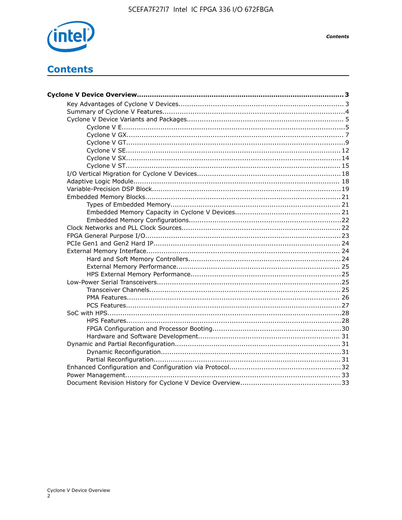

## **Contents**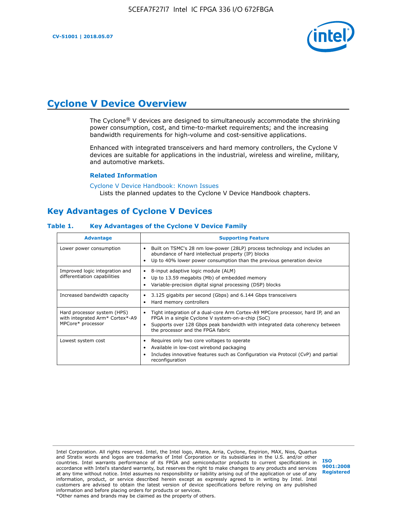

## **Cyclone V Device Overview**

The Cyclone® V devices are designed to simultaneously accommodate the shrinking power consumption, cost, and time-to-market requirements; and the increasing bandwidth requirements for high-volume and cost-sensitive applications.

Enhanced with integrated transceivers and hard memory controllers, the Cyclone V devices are suitable for applications in the industrial, wireless and wireline, military, and automotive markets.

#### **Related Information**

[Cyclone V Device Handbook: Known Issues](https://www.altera.com/support/support-resources/knowledge-base/solutions/rd12152011_347.html) Lists the planned updates to the Cyclone V Device Handbook chapters.

## **Key Advantages of Cyclone V Devices**

#### **Table 1. Key Advantages of the Cyclone V Device Family**

| <b>Advantage</b>                                                                    | <b>Supporting Feature</b>                                                                                                                                                                                                                                                    |
|-------------------------------------------------------------------------------------|------------------------------------------------------------------------------------------------------------------------------------------------------------------------------------------------------------------------------------------------------------------------------|
| Lower power consumption                                                             | Built on TSMC's 28 nm low-power (28LP) process technology and includes an<br>٠<br>abundance of hard intellectual property (IP) blocks<br>Up to 40% lower power consumption than the previous generation device<br>٠                                                          |
| Improved logic integration and<br>differentiation capabilities                      | 8-input adaptive logic module (ALM)<br>٠<br>Up to 13.59 megabits (Mb) of embedded memory<br>٠<br>Variable-precision digital signal processing (DSP) blocks<br>٠                                                                                                              |
| Increased bandwidth capacity                                                        | 3.125 gigabits per second (Gbps) and 6.144 Gbps transceivers<br>٠<br>Hard memory controllers<br>٠                                                                                                                                                                            |
| Hard processor system (HPS)<br>with integrated Arm* Cortex*-A9<br>MPCore* processor | Tight integration of a dual-core Arm Cortex-A9 MPCore processor, hard IP, and an<br>$\bullet$<br>FPGA in a single Cyclone V system-on-a-chip (SoC)<br>Supports over 128 Gbps peak bandwidth with integrated data coherency between<br>٠<br>the processor and the FPGA fabric |
| Lowest system cost                                                                  | Requires only two core voltages to operate<br>٠<br>Available in low-cost wirebond packaging<br>٠<br>Includes innovative features such as Configuration via Protocol (CvP) and partial<br>٠<br>reconfiguration                                                                |

Intel Corporation. All rights reserved. Intel, the Intel logo, Altera, Arria, Cyclone, Enpirion, MAX, Nios, Quartus and Stratix words and logos are trademarks of Intel Corporation or its subsidiaries in the U.S. and/or other countries. Intel warrants performance of its FPGA and semiconductor products to current specifications in accordance with Intel's standard warranty, but reserves the right to make changes to any products and services at any time without notice. Intel assumes no responsibility or liability arising out of the application or use of any information, product, or service described herein except as expressly agreed to in writing by Intel. Intel customers are advised to obtain the latest version of device specifications before relying on any published information and before placing orders for products or services. \*Other names and brands may be claimed as the property of others.

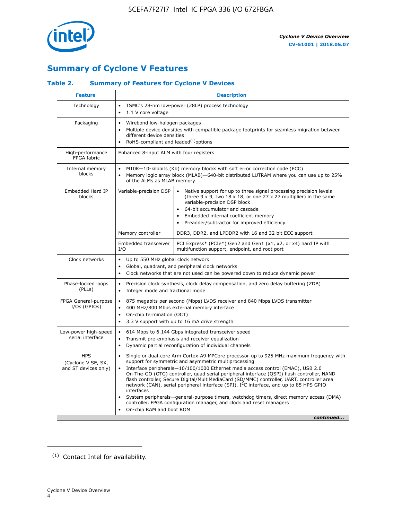

## **Summary of Cyclone V Features**

#### **Table 2. Summary of Features for Cyclone V Devices**

| <b>Feature</b>                                           | <b>Description</b>                                                                                                                                                                                      |                                                                                                                                                                                                                                                                                                                                                                                                                                                                                                                                                                                                                                                                                                         |  |  |  |  |  |
|----------------------------------------------------------|---------------------------------------------------------------------------------------------------------------------------------------------------------------------------------------------------------|---------------------------------------------------------------------------------------------------------------------------------------------------------------------------------------------------------------------------------------------------------------------------------------------------------------------------------------------------------------------------------------------------------------------------------------------------------------------------------------------------------------------------------------------------------------------------------------------------------------------------------------------------------------------------------------------------------|--|--|--|--|--|
| Technology                                               | $\bullet$<br>1.1 V core voltage<br>$\bullet$                                                                                                                                                            | TSMC's 28-nm low-power (28LP) process technology                                                                                                                                                                                                                                                                                                                                                                                                                                                                                                                                                                                                                                                        |  |  |  |  |  |
| Packaging                                                | Wirebond low-halogen packages<br>$\bullet$<br>different device densities<br>RoHS-compliant and leaded $(1)$ options                                                                                     | Multiple device densities with compatible package footprints for seamless migration between                                                                                                                                                                                                                                                                                                                                                                                                                                                                                                                                                                                                             |  |  |  |  |  |
| High-performance<br>FPGA fabric                          | Enhanced 8-input ALM with four registers                                                                                                                                                                |                                                                                                                                                                                                                                                                                                                                                                                                                                                                                                                                                                                                                                                                                                         |  |  |  |  |  |
| Internal memory<br>blocks                                | of the ALMs as MLAB memory                                                                                                                                                                              | M10K-10-kilobits (Kb) memory blocks with soft error correction code (ECC)<br>Memory logic array block (MLAB)-640-bit distributed LUTRAM where you can use up to 25%                                                                                                                                                                                                                                                                                                                                                                                                                                                                                                                                     |  |  |  |  |  |
| Embedded Hard IP<br>blocks                               | Variable-precision DSP                                                                                                                                                                                  | Native support for up to three signal processing precision levels<br>(three $9 \times 9$ , two $18 \times 18$ , or one 27 x 27 multiplier) in the same<br>variable-precision DSP block<br>64-bit accumulator and cascade<br>Embedded internal coefficient memory<br>Preadder/subtractor for improved efficiency                                                                                                                                                                                                                                                                                                                                                                                         |  |  |  |  |  |
|                                                          | Memory controller                                                                                                                                                                                       | DDR3, DDR2, and LPDDR2 with 16 and 32 bit ECC support                                                                                                                                                                                                                                                                                                                                                                                                                                                                                                                                                                                                                                                   |  |  |  |  |  |
|                                                          | Embedded transceiver<br>I/O                                                                                                                                                                             | PCI Express* (PCIe*) Gen2 and Gen1 (x1, x2, or x4) hard IP with<br>multifunction support, endpoint, and root port                                                                                                                                                                                                                                                                                                                                                                                                                                                                                                                                                                                       |  |  |  |  |  |
| Clock networks                                           | Up to 550 MHz global clock network<br>$\bullet$<br>$\bullet$                                                                                                                                            | Global, quadrant, and peripheral clock networks<br>Clock networks that are not used can be powered down to reduce dynamic power                                                                                                                                                                                                                                                                                                                                                                                                                                                                                                                                                                         |  |  |  |  |  |
| Phase-locked loops<br>(PLLs)                             | $\bullet$<br>Integer mode and fractional mode<br>$\bullet$                                                                                                                                              | Precision clock synthesis, clock delay compensation, and zero delay buffering (ZDB)                                                                                                                                                                                                                                                                                                                                                                                                                                                                                                                                                                                                                     |  |  |  |  |  |
| FPGA General-purpose<br>$I/Os$ (GPIOs)                   | $\bullet$<br>$\bullet$<br>$\bullet$                                                                                                                                                                     | 875 megabits per second (Mbps) LVDS receiver and 840 Mbps LVDS transmitter<br>400 MHz/800 Mbps external memory interface<br>On-chip termination (OCT)<br>3.3 V support with up to 16 mA drive strength                                                                                                                                                                                                                                                                                                                                                                                                                                                                                                  |  |  |  |  |  |
| Low-power high-speed<br>serial interface                 | 614 Mbps to 6.144 Gbps integrated transceiver speed<br>$\bullet$<br>Transmit pre-emphasis and receiver equalization<br>$\bullet$<br>Dynamic partial reconfiguration of individual channels<br>$\bullet$ |                                                                                                                                                                                                                                                                                                                                                                                                                                                                                                                                                                                                                                                                                                         |  |  |  |  |  |
| <b>HPS</b><br>(Cyclone V SE, SX,<br>and ST devices only) | $\bullet$<br>$\bullet$<br>interfaces<br>On-chip RAM and boot ROM                                                                                                                                        | Single or dual-core Arm Cortex-A9 MPCore processor-up to 925 MHz maximum frequency with<br>support for symmetric and asymmetric multiprocessing<br>Interface peripherals-10/100/1000 Ethernet media access control (EMAC), USB 2.0<br>On-The-GO (OTG) controller, quad serial peripheral interface (QSPI) flash controller, NAND<br>flash controller, Secure Digital/MultiMediaCard (SD/MMC) controller, UART, controller area<br>network (CAN), serial peripheral interface (SPI), I <sup>2</sup> C interface, and up to 85 HPS GPIO<br>System peripherals—general-purpose timers, watchdog timers, direct memory access (DMA)<br>controller, FPGA configuration manager, and clock and reset managers |  |  |  |  |  |
|                                                          |                                                                                                                                                                                                         | continued                                                                                                                                                                                                                                                                                                                                                                                                                                                                                                                                                                                                                                                                                               |  |  |  |  |  |

<sup>(1)</sup> Contact Intel for availability.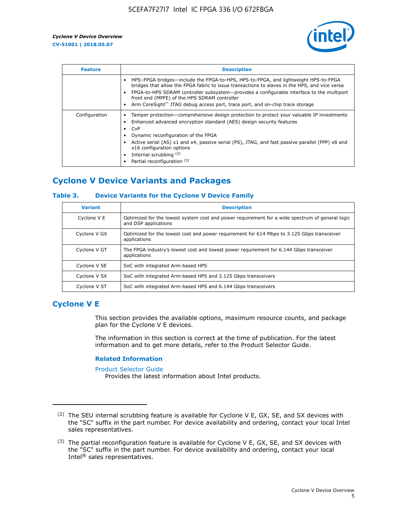

| <b>Feature</b> | <b>Description</b>                                                                                                                                                                                                                                                                                                                                                                                                    |
|----------------|-----------------------------------------------------------------------------------------------------------------------------------------------------------------------------------------------------------------------------------------------------------------------------------------------------------------------------------------------------------------------------------------------------------------------|
|                | HPS-FPGA bridges—include the FPGA-to-HPS, HPS-to-FPGA, and lightweight HPS-to-FPGA<br>bridges that allow the FPGA fabric to issue transactions to slaves in the HPS, and vice versa<br>FPGA-to-HPS SDRAM controller subsystem-provides a configurable interface to the multiport<br>front end (MPFE) of the HPS SDRAM controller<br>Arm CoreSight™ JTAG debug access port, trace port, and on-chip trace storage      |
| Configuration  | Tamper protection—comprehensive design protection to protect your valuable IP investments<br>Enhanced advanced encryption standard (AES) design security features<br>CvP<br>$\bullet$<br>Dynamic reconfiguration of the FPGA<br>Active serial (AS) x1 and x4, passive serial (PS), JTAG, and fast passive parallel (FPP) x8 and<br>x16 configuration options<br>Internal scrubbing (2)<br>Partial reconfiguration (3) |

## **Cyclone V Device Variants and Packages**

#### **Table 3. Device Variants for the Cyclone V Device Family**

| <b>Variant</b> | <b>Description</b>                                                                                                      |
|----------------|-------------------------------------------------------------------------------------------------------------------------|
| Cyclone V E    | Optimized for the lowest system cost and power requirement for a wide spectrum of general logic<br>and DSP applications |
| Cyclone V GX   | Optimized for the lowest cost and power requirement for 614 Mbps to 3.125 Gbps transceiver<br>applications              |
| Cyclone V GT   | The FPGA industry's lowest cost and lowest power requirement for 6.144 Gbps transceiver<br>applications                 |
| Cyclone V SE   | SoC with integrated Arm-based HPS                                                                                       |
| Cyclone V SX   | SoC with integrated Arm-based HPS and 3.125 Gbps transceivers                                                           |
| Cyclone V ST   | SoC with integrated Arm-based HPS and 6.144 Gbps transceivers                                                           |

## **Cyclone V E**

This section provides the available options, maximum resource counts, and package plan for the Cyclone V E devices.

The information in this section is correct at the time of publication. For the latest information and to get more details, refer to the Product Selector Guide.

#### **Related Information**

[Product Selector Guide](https://www.altera.com/products/product-selector-guide.html)

Provides the latest information about Intel products.

<sup>(2)</sup> The SEU internal scrubbing feature is available for Cyclone V E, GX, SE, and SX devices with the "SC" suffix in the part number. For device availability and ordering, contact your local Intel sales representatives.

 $(3)$  The partial reconfiguration feature is available for Cyclone V E, GX, SE, and SX devices with the "SC" suffix in the part number. For device availability and ordering, contact your local Intel® sales representatives.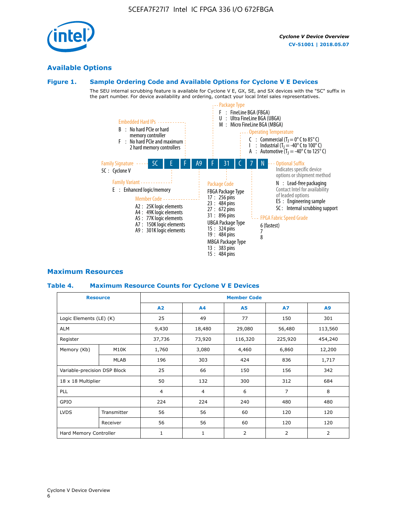

## **Available Options**

#### **Figure 1. Sample Ordering Code and Available Options for Cyclone V E Devices**

The SEU internal scrubbing feature is available for Cyclone V E, GX, SE, and SX devices with the "SC" suffix in the part number. For device availability and ordering, contact your local Intel sales representatives.



#### **Maximum Resources**

#### **Table 4. Maximum Resource Counts for Cyclone V E Devices**

| <b>Resource</b>         |                              | <b>Member Code</b>       |                |           |                |                |  |  |
|-------------------------|------------------------------|--------------------------|----------------|-----------|----------------|----------------|--|--|
|                         |                              | <b>A2</b>                | A <sub>4</sub> | <b>A5</b> | <b>A7</b>      | A9             |  |  |
| Logic Elements (LE) (K) |                              | 25                       | 49             | 77        | 150            | 301            |  |  |
| ALM                     |                              | 9,430                    | 18,480         | 29,080    | 56,480         | 113,560        |  |  |
| Register                |                              | 37,736                   | 73,920         | 116,320   | 225,920        | 454,240        |  |  |
| Memory (Kb)             | M10K                         | 1,760                    | 3,080          | 4,460     | 6,860          | 12,200         |  |  |
|                         | <b>MLAB</b>                  | 196                      | 303            | 424       | 836            | 1,717          |  |  |
|                         | Variable-precision DSP Block |                          | 66             | 150       | 156            | 342            |  |  |
| 18 x 18 Multiplier      |                              | 50                       | 132            | 300       | 312            | 684            |  |  |
| PLL                     |                              | $\overline{4}$           | $\overline{4}$ | 6         | $\overline{7}$ | 8              |  |  |
| GPIO                    |                              | 224<br>224<br>240<br>480 |                |           | 480            |                |  |  |
| <b>LVDS</b>             | Transmitter                  | 56                       | 56             | 60        | 120            | 120            |  |  |
|                         | Receiver                     | 56                       | 56             | 60        | 120            | 120            |  |  |
| Hard Memory Controller  |                              | $\mathbf{1}$             | $\mathbf{1}$   | 2         | $\overline{2}$ | $\overline{2}$ |  |  |

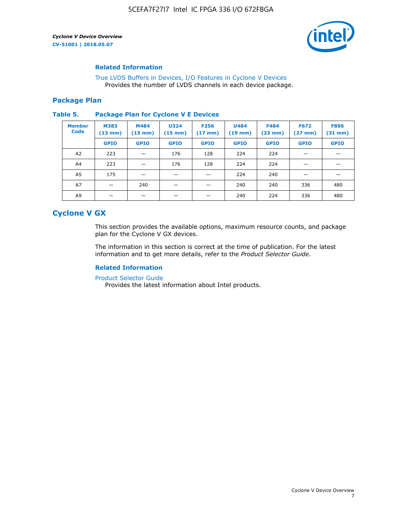

#### **Related Information**

[True LVDS Buffers in Devices, I/O Features in Cyclone V Devices](https://www.altera.com/documentation/sam1403481100977.html#sam1403480885395) Provides the number of LVDS channels in each device package.

#### **Package Plan**

#### **Table 5. Package Plan for Cyclone V E Devices**

| <b>Member</b><br><b>Code</b> | <b>M383</b><br>$(13 \text{ mm})$ | M484<br>$(15 \text{ mm})$ | <b>U324</b><br>$(15 \text{ mm})$ | <b>F256</b><br>$(17 \text{ mm})$ | <b>U484</b><br>$(19$ mm) | <b>F484</b><br>$(23$ mm $)$ | <b>F672</b><br>$(27 \text{ mm})$ | <b>F896</b><br>$(31$ mm $)$ |
|------------------------------|----------------------------------|---------------------------|----------------------------------|----------------------------------|--------------------------|-----------------------------|----------------------------------|-----------------------------|
|                              | <b>GPIO</b>                      | <b>GPIO</b>               | <b>GPIO</b>                      | <b>GPIO</b>                      | <b>GPIO</b>              | <b>GPIO</b>                 | <b>GPIO</b>                      | <b>GPIO</b>                 |
| A <sub>2</sub>               | 223                              |                           | 176                              | 128                              | 224                      | 224                         |                                  |                             |
| A4                           | 223                              |                           | 176                              | 128                              | 224                      | 224                         | –                                |                             |
| A <sub>5</sub>               | 175                              |                           |                                  |                                  | 224                      | 240                         |                                  |                             |
| A7                           |                                  | 240                       |                                  |                                  | 240                      | 240                         | 336                              | 480                         |
| A9                           |                                  |                           |                                  |                                  | 240                      | 224                         | 336                              | 480                         |

## **Cyclone V GX**

This section provides the available options, maximum resource counts, and package plan for the Cyclone V GX devices.

The information in this section is correct at the time of publication. For the latest information and to get more details, refer to the *Product Selector Guide*.

#### **Related Information**

[Product Selector Guide](https://www.altera.com/products/product-selector-guide.html)

Provides the latest information about Intel products.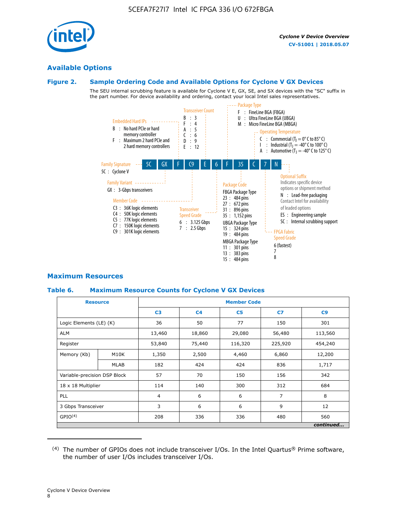

#### **Available Options**

#### **Figure 2. Sample Ordering Code and Available Options for Cyclone V GX Devices**

The SEU internal scrubbing feature is available for Cyclone V E, GX, SE, and SX devices with the "SC" suffix in the part number. For device availability and ordering, contact your local Intel sales representatives.



#### **Maximum Resources**

#### **Table 6. Maximum Resource Counts for Cyclone V GX Devices**

|                              | <b>Resource</b> | <b>Member Code</b> |                |                |                |           |  |  |
|------------------------------|-----------------|--------------------|----------------|----------------|----------------|-----------|--|--|
|                              |                 | C <sub>3</sub>     | C <sub>4</sub> | C <sub>5</sub> | C7             | C9        |  |  |
| Logic Elements (LE) (K)      |                 | 36                 | 50             | 77             | 150            | 301       |  |  |
| <b>ALM</b>                   |                 | 13,460             | 18,860         | 29,080         | 56,480         | 113,560   |  |  |
| Register                     |                 | 53,840             | 75,440         | 116,320        | 225,920        | 454,240   |  |  |
| Memory (Kb)                  | M10K            | 1,350              | 2,500          | 4,460          | 6,860          | 12,200    |  |  |
|                              | <b>MLAB</b>     | 182                | 424            | 424            | 836            | 1,717     |  |  |
| Variable-precision DSP Block |                 | 57                 | 70             | 150            | 156            | 342       |  |  |
| 18 x 18 Multiplier           |                 | 114                | 140            | 300            | 312            | 684       |  |  |
| PLL                          |                 | $\overline{4}$     | 6              | 6              | $\overline{7}$ | 8         |  |  |
| 3 Gbps Transceiver           |                 | 3                  | 6              | 6<br>9         |                | 12        |  |  |
| GPIO <sup>(4)</sup>          |                 | 208                | 336            | 336            | 480            | 560       |  |  |
|                              |                 |                    |                |                |                | continued |  |  |

 $(4)$  The number of GPIOs does not include transceiver I/Os. In the Intel Quartus® Prime software, the number of user I/Os includes transceiver I/Os.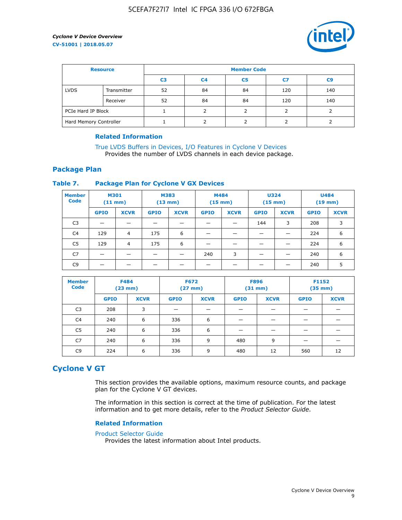

| <b>Resource</b>        |             | <b>Member Code</b> |                |                |     |     |  |  |
|------------------------|-------------|--------------------|----------------|----------------|-----|-----|--|--|
|                        |             | C3                 | C <sub>4</sub> | C <sub>5</sub> | C7  | C9  |  |  |
| <b>LVDS</b>            | Transmitter | 52                 | 84             | 84             | 120 | 140 |  |  |
|                        | Receiver    | 52                 | 84             | 84             | 120 | 140 |  |  |
| PCIe Hard IP Block     |             |                    |                |                |     |     |  |  |
| Hard Memory Controller |             |                    |                |                |     |     |  |  |

#### **Related Information**

[True LVDS Buffers in Devices, I/O Features in Cyclone V Devices](https://www.altera.com/documentation/sam1403481100977.html#sam1403480885395) Provides the number of LVDS channels in each device package.

#### **Package Plan**

#### **Table 7. Package Plan for Cyclone V GX Devices**

| <b>Member</b><br><b>Code</b> | <b>M301</b><br>$(11$ mm) |                | <b>M383</b><br>$(13 \text{ mm})$ |             | M484        | $(15 \text{ mm})$ | <b>U324</b><br>$(15 \text{ mm})$ |             | <b>U484</b><br>$(19$ mm) |             |
|------------------------------|--------------------------|----------------|----------------------------------|-------------|-------------|-------------------|----------------------------------|-------------|--------------------------|-------------|
|                              | <b>GPIO</b>              | <b>XCVR</b>    | <b>GPIO</b>                      | <b>XCVR</b> | <b>GPIO</b> | <b>XCVR</b>       | <b>GPIO</b>                      | <b>XCVR</b> | <b>GPIO</b>              | <b>XCVR</b> |
| C <sub>3</sub>               |                          |                |                                  |             |             |                   | 144                              | 3           | 208                      | 3           |
| C <sub>4</sub>               | 129                      | $\overline{4}$ | 175                              | 6           |             |                   | –                                |             | 224                      | 6           |
| C5                           | 129                      | 4              | 175                              | 6           |             |                   |                                  |             | 224                      | 6           |
| C7                           | _                        |                |                                  |             | 240         | 3                 |                                  |             | 240                      | 6           |
| C <sub>9</sub>               |                          |                |                                  |             |             |                   |                                  |             | 240                      | 5           |

| <b>Member</b><br><b>Code</b> | <b>F484</b> | $(23$ mm)   | <b>F672</b> | $(27 \text{ mm})$ | <b>F896</b><br>$(31 \text{ mm})$ |             | F1152<br>$(35 \text{ mm})$ |             |
|------------------------------|-------------|-------------|-------------|-------------------|----------------------------------|-------------|----------------------------|-------------|
|                              | <b>GPIO</b> | <b>XCVR</b> | <b>GPIO</b> | <b>XCVR</b>       | <b>GPIO</b>                      | <b>XCVR</b> | <b>GPIO</b>                | <b>XCVR</b> |
| C <sub>3</sub>               | 208         | 3           |             |                   |                                  |             |                            |             |
| C4                           | 240         | 6           | 336         | 6                 |                                  |             |                            |             |
| C <sub>5</sub>               | 240         | 6           | 336         | 6                 |                                  |             |                            |             |
| C <sub>7</sub>               | 240         | 6           | 336         | 9                 | 480                              | 9           |                            |             |
| C <sub>9</sub>               | 224         | 6           | 336         | 9                 | 480                              | 12          | 560                        | 12          |

## **Cyclone V GT**

This section provides the available options, maximum resource counts, and package plan for the Cyclone V GT devices.

The information in this section is correct at the time of publication. For the latest information and to get more details, refer to the *Product Selector Guide*.

#### **Related Information**

#### [Product Selector Guide](https://www.altera.com/products/product-selector-guide.html)

Provides the latest information about Intel products.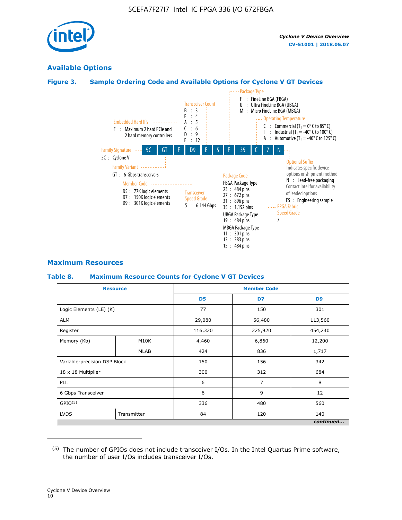

## **Available Options**

#### **Figure 3. Sample Ordering Code and Available Options for Cyclone V GT Devices**



#### **Maximum Resources**

#### **Table 8. Maximum Resource Counts for Cyclone V GT Devices**

|                              | <b>Resource</b> | <b>Member Code</b> |         |                |  |  |  |
|------------------------------|-----------------|--------------------|---------|----------------|--|--|--|
|                              |                 | D <sub>5</sub>     | D7      | D <sub>9</sub> |  |  |  |
| Logic Elements (LE) (K)      |                 | 77                 | 150     | 301            |  |  |  |
| <b>ALM</b>                   |                 | 29,080             | 56,480  | 113,560        |  |  |  |
| Register                     |                 | 116,320            | 225,920 | 454,240        |  |  |  |
| Memory (Kb)                  | M10K            | 4,460              | 6,860   | 12,200         |  |  |  |
|                              | <b>MLAB</b>     | 424                | 836     | 1,717          |  |  |  |
| Variable-precision DSP Block |                 | 150                | 156     | 342            |  |  |  |
| 18 x 18 Multiplier           |                 | 300                | 312     | 684            |  |  |  |
| PLL                          |                 | 6                  | 7       | 8              |  |  |  |
| 6 Gbps Transceiver           |                 | 6                  | 9       | 12             |  |  |  |
| GPIO <sup>(5)</sup>          |                 | 336                | 480     |                |  |  |  |
| <b>LVDS</b>                  | Transmitter     | 84                 | 120     | 140            |  |  |  |
|                              |                 |                    |         | continued      |  |  |  |

<sup>(5)</sup> The number of GPIOs does not include transceiver I/Os. In the Intel Quartus Prime software, the number of user I/Os includes transceiver I/Os.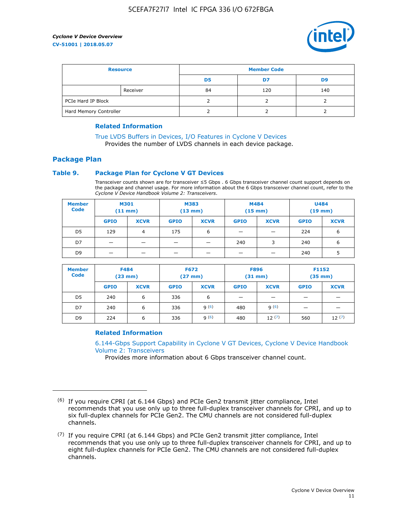

| <b>Resource</b>        |          | <b>Member Code</b> |     |     |  |  |
|------------------------|----------|--------------------|-----|-----|--|--|
|                        |          | D5                 | D7  | D9  |  |  |
|                        | Receiver | 84                 | 120 | 140 |  |  |
| PCIe Hard IP Block     |          |                    |     |     |  |  |
| Hard Memory Controller |          |                    |     |     |  |  |

#### **Related Information**

[True LVDS Buffers in Devices, I/O Features in Cyclone V Devices](https://www.altera.com/documentation/sam1403481100977.html#sam1403480885395) Provides the number of LVDS channels in each device package.

## **Package Plan**

#### **Table 9. Package Plan for Cyclone V GT Devices**

Transceiver counts shown are for transceiver ≤5 Gbps . 6 Gbps transceiver channel count support depends on the package and channel usage. For more information about the 6 Gbps transceiver channel count, refer to the *Cyclone V Device Handbook Volume 2: Transceivers*.

| <b>Member</b><br><b>Code</b> | <b>M301</b><br>$(11$ mm) |             | M383<br>$(13 \text{ mm})$ |             | M484<br>(15 mm) |                          | <b>U484</b><br>$(19$ mm) |             |
|------------------------------|--------------------------|-------------|---------------------------|-------------|-----------------|--------------------------|--------------------------|-------------|
|                              | <b>GPIO</b>              | <b>XCVR</b> | <b>GPIO</b>               | <b>XCVR</b> | <b>GPIO</b>     | <b>XCVR</b>              | <b>GPIO</b>              | <b>XCVR</b> |
| D <sub>5</sub>               | 129                      | 4           | 175                       | 6           | -               | $\overline{\phantom{0}}$ | 224                      | 6           |
| D7                           | -                        |             |                           | _           | 240             | 3                        | 240                      | 6           |
| D <sub>9</sub>               | –                        |             |                           | _           | _               | –                        | 240                      | 5           |

| <b>Member</b><br><b>Code</b> | <b>F484</b><br>$(23$ mm) |             | <b>F672</b><br>$(27$ mm $)$ |             | <b>F896</b><br>$(31$ mm $)$ |             | F1152<br>$(35$ mm $)$ |             |
|------------------------------|--------------------------|-------------|-----------------------------|-------------|-----------------------------|-------------|-----------------------|-------------|
|                              | <b>GPIO</b>              | <b>XCVR</b> | <b>GPIO</b>                 | <b>XCVR</b> | <b>GPIO</b>                 | <b>XCVR</b> | <b>GPIO</b>           | <b>XCVR</b> |
| D <sub>5</sub>               | 240                      | 6           | 336                         | 6           | -                           |             |                       |             |
| D7                           | 240                      | 6           | 336                         | q(6)        | 480                         | q(6)        | -                     | _           |
| D <sub>9</sub>               | 224                      | 6           | 336                         | q(6)        | 480                         | 12(7)       | 560                   | 12(7)       |

#### **Related Information**

[6.144-Gbps Support Capability in Cyclone V GT Devices, Cyclone V Device Handbook](https://www.altera.com/documentation/nik1409855456781.html#nik1409855410757) [Volume 2: Transceivers](https://www.altera.com/documentation/nik1409855456781.html#nik1409855410757)

Provides more information about 6 Gbps transceiver channel count.

<sup>(6)</sup> If you require CPRI (at 6.144 Gbps) and PCIe Gen2 transmit jitter compliance, Intel recommends that you use only up to three full-duplex transceiver channels for CPRI, and up to six full-duplex channels for PCIe Gen2. The CMU channels are not considered full-duplex channels.

 $(7)$  If you require CPRI (at 6.144 Gbps) and PCIe Gen2 transmit jitter compliance, Intel recommends that you use only up to three full-duplex transceiver channels for CPRI, and up to eight full-duplex channels for PCIe Gen2. The CMU channels are not considered full-duplex channels.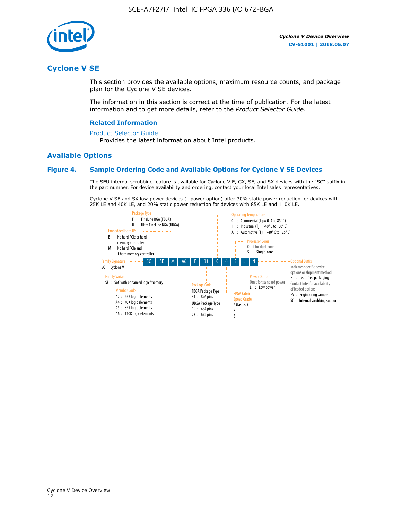

## **Cyclone V SE**

This section provides the available options, maximum resource counts, and package plan for the Cyclone V SE devices.

The information in this section is correct at the time of publication. For the latest information and to get more details, refer to the *Product Selector Guide*.

#### **Related Information**

#### [Product Selector Guide](https://www.altera.com/products/product-selector-guide.html)

Provides the latest information about Intel products.

#### **Available Options**

#### **Figure 4. Sample Ordering Code and Available Options for Cyclone V SE Devices**

The SEU internal scrubbing feature is available for Cyclone V E, GX, SE, and SX devices with the "SC" suffix in the part number. For device availability and ordering, contact your local Intel sales representatives.

Cyclone V SE and SX low-power devices (L power option) offer 30% static power reduction for devices with 25K LE and 40K LE, and 20% static power reduction for devices with 85K LE and 110K LE.

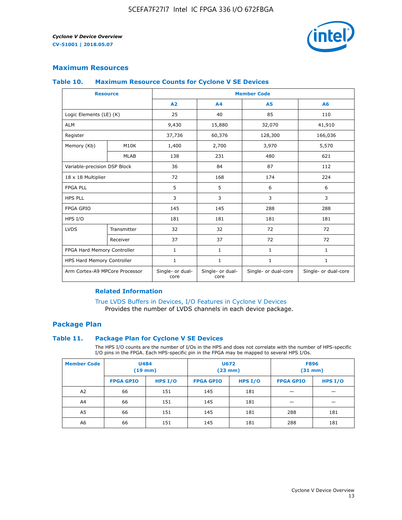

#### **Maximum Resources**

#### **Table 10. Maximum Resource Counts for Cyclone V SE Devices**

|                                | <b>Resource</b>              | <b>Member Code</b>       |                          |                      |                      |  |
|--------------------------------|------------------------------|--------------------------|--------------------------|----------------------|----------------------|--|
|                                |                              | A <sub>2</sub>           | A <sub>4</sub>           | <b>A5</b>            | A6                   |  |
| Logic Elements (LE) (K)        |                              | 25                       | 40                       | 85                   | 110                  |  |
| <b>ALM</b>                     |                              | 9,430                    | 15,880                   | 32,070               | 41,910               |  |
| Register                       |                              | 37,736                   | 60,376                   | 128,300              | 166,036              |  |
| Memory (Kb)                    | M10K                         | 1,400                    | 2,700                    | 3,970                | 5,570                |  |
|                                | <b>MLAB</b>                  | 138                      | 231                      | 480                  | 621                  |  |
|                                | Variable-precision DSP Block |                          | 84                       | 87                   | 112                  |  |
| 18 x 18 Multiplier             |                              | 72                       | 168                      | 174                  | 224                  |  |
| <b>FPGA PLL</b>                |                              | 5                        | 5                        | 6                    | 6                    |  |
| <b>HPS PLL</b>                 |                              | 3                        | 3                        | 3                    | 3                    |  |
| <b>FPGA GPIO</b>               |                              | 145                      | 145                      | 288                  | 288                  |  |
| HPS I/O                        |                              | 181                      | 181                      | 181                  | 181                  |  |
| <b>LVDS</b>                    | Transmitter                  | 32                       | 32                       | 72                   | 72                   |  |
|                                | Receiver                     | 37                       | 37                       | 72                   | 72                   |  |
| FPGA Hard Memory Controller    |                              | 1                        | $\mathbf{1}$             | $\mathbf{1}$         | $\mathbf{1}$         |  |
| HPS Hard Memory Controller     |                              | $\mathbf{1}$             | $\mathbf{1}$             | $\mathbf{1}$         | $\mathbf{1}$         |  |
| Arm Cortex-A9 MPCore Processor |                              | Single- or dual-<br>core | Single- or dual-<br>core | Single- or dual-core | Single- or dual-core |  |

#### **Related Information**

[True LVDS Buffers in Devices, I/O Features in Cyclone V Devices](https://www.altera.com/documentation/sam1403481100977.html#sam1403480885395) Provides the number of LVDS channels in each device package.

#### **Package Plan**

#### **Table 11. Package Plan for Cyclone V SE Devices**

The HPS I/O counts are the number of I/Os in the HPS and does not correlate with the number of HPS-specific I/O pins in the FPGA. Each HPS-specific pin in the FPGA may be mapped to several HPS I/Os.

| <b>Member Code</b> | <b>U484</b><br>$(19$ mm) |           | <b>U672</b><br>(23 mm) |           | <b>F896</b><br>$(31$ mm $)$ |           |
|--------------------|--------------------------|-----------|------------------------|-----------|-----------------------------|-----------|
|                    | <b>FPGA GPIO</b>         | HPS $I/O$ | <b>FPGA GPIO</b>       | HPS $I/O$ | <b>FPGA GPIO</b>            | HPS $I/O$ |
| A <sub>2</sub>     | 66                       | 151       | 145                    | 181       |                             |           |
| A4                 | 66                       | 151       | 145                    | 181       |                             |           |
| A <sub>5</sub>     | 66                       | 151       | 145                    | 181       | 288                         | 181       |
| A6                 | 66                       | 151       | 145                    | 181       | 288                         | 181       |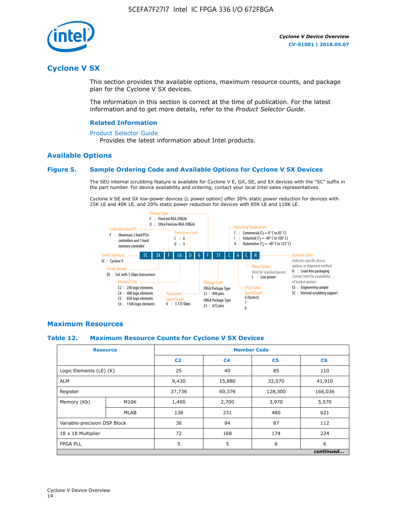

## **Cyclone V SX**

This section provides the available options, maximum resource counts, and package plan for the Cyclone V SX devices.

The information in this section is correct at the time of publication. For the latest information and to get more details, refer to the *Product Selector Guide*.

#### **Related Information**

#### [Product Selector Guide](https://www.altera.com/products/product-selector-guide.html)

Provides the latest information about Intel products.

#### **Available Options**

#### **Figure 5. Sample Ordering Code and Available Options for Cyclone V SX Devices**

The SEU internal scrubbing feature is available for Cyclone V E, GX, SE, and SX devices with the "SC" suffix in the part number. For device availability and ordering, contact your local Intel sales representatives.

Cyclone V SE and SX low-power devices (L power option) offer 30% static power reduction for devices with 25K LE and 40K LE, and 20% static power reduction for devices with 85K LE and 110K LE.



#### **Maximum Resources**

#### **Table 12. Maximum Resource Counts for Cyclone V SX Devices**

|                              | <b>Resource</b> | <b>Member Code</b> |                |                |           |  |
|------------------------------|-----------------|--------------------|----------------|----------------|-----------|--|
|                              |                 | C <sub>2</sub>     | C <sub>4</sub> | C <sub>5</sub> | C6        |  |
| Logic Elements (LE) (K)      |                 | 25                 | 40             | 85             | 110       |  |
| <b>ALM</b>                   |                 | 9,430              | 15,880         | 32,070         | 41,910    |  |
| Register                     |                 | 37,736             | 60,376         | 128,300        | 166,036   |  |
| Memory (Kb)                  | M10K            | 1,400              | 2,700          | 3,970          | 5,570     |  |
|                              | <b>MLAB</b>     | 138                | 231            | 480            | 621       |  |
| Variable-precision DSP Block |                 | 36                 | 84             | 87             | 112       |  |
| 18 x 18 Multiplier           |                 | 72                 | 168            | 174            | 224       |  |
| <b>FPGA PLL</b>              |                 | 5                  | 5              | 6              | 6         |  |
|                              |                 |                    |                |                | continued |  |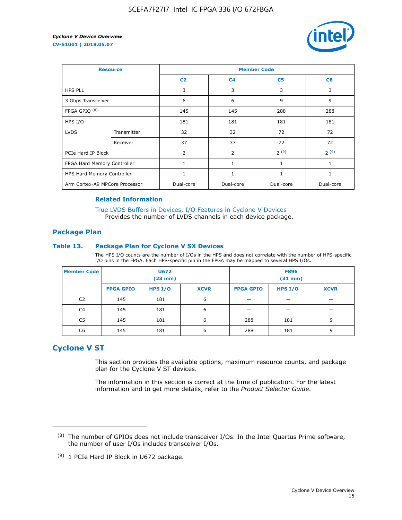

| <b>Resource</b>                |             | <b>Member Code</b> |                |                |                |  |  |
|--------------------------------|-------------|--------------------|----------------|----------------|----------------|--|--|
|                                |             | C <sub>2</sub>     | C <sub>4</sub> | C <sub>5</sub> | C <sub>6</sub> |  |  |
| <b>HPS PLL</b>                 |             | 3                  | 3              | 3              | 3              |  |  |
| 3 Gbps Transceiver             |             | 6                  | 6              | 9              | 9              |  |  |
| FPGA GPIO <sup>(8)</sup>       |             | 145                | 145            | 288            | 288            |  |  |
| HPS I/O                        |             | 181                | 181            | 181            | 181            |  |  |
| <b>LVDS</b>                    | Transmitter | 32                 | 32             | 72             | 72             |  |  |
|                                | Receiver    | 37                 | 37             | 72             | 72             |  |  |
| PCIe Hard IP Block             |             | $\overline{2}$     | $\overline{2}$ | 2(9)           | 2(9)           |  |  |
| FPGA Hard Memory Controller    |             | $\mathbf{1}$       | $\mathbf{1}$   | $\mathbf{1}$   | $\mathbf{1}$   |  |  |
| HPS Hard Memory Controller     |             |                    | $\mathbf{1}$   | 1              | 1              |  |  |
| Arm Cortex-A9 MPCore Processor |             | Dual-core          | Dual-core      | Dual-core      | Dual-core      |  |  |

#### **Related Information**

[True LVDS Buffers in Devices, I/O Features in Cyclone V Devices](https://www.altera.com/documentation/sam1403481100977.html#sam1403480885395) Provides the number of LVDS channels in each device package.

#### **Package Plan**

#### **Table 13. Package Plan for Cyclone V SX Devices**

The HPS I/O counts are the number of I/Os in the HPS and does not correlate with the number of HPS-specific I/O pins in the FPGA. Each HPS-specific pin in the FPGA may be mapped to several HPS I/Os.

| <b>Member Code</b> | U672<br>(23 mm)  |         | <b>F896</b><br>$(31$ mm $)$ |                  |         |             |
|--------------------|------------------|---------|-----------------------------|------------------|---------|-------------|
|                    | <b>FPGA GPIO</b> | HPS I/O | <b>XCVR</b>                 | <b>FPGA GPIO</b> | HPS I/O | <b>XCVR</b> |
| C <sub>2</sub>     | 145              | 181     | 6                           |                  |         |             |
| C4                 | 145              | 181     | 6                           |                  |         |             |
| C <sub>5</sub>     | 145              | 181     | 6                           | 288              | 181     | 9           |
| C6                 | 145              | 181     | 6                           | 288              | 181     | 9           |

## **Cyclone V ST**

This section provides the available options, maximum resource counts, and package plan for the Cyclone V ST devices.

The information in this section is correct at the time of publication. For the latest information and to get more details, refer to the *Product Selector Guide*.

 $(8)$  The number of GPIOs does not include transceiver I/Os. In the Intel Quartus Prime software, the number of user I/Os includes transceiver I/Os.

<sup>(9)</sup> 1 PCIe Hard IP Block in U672 package.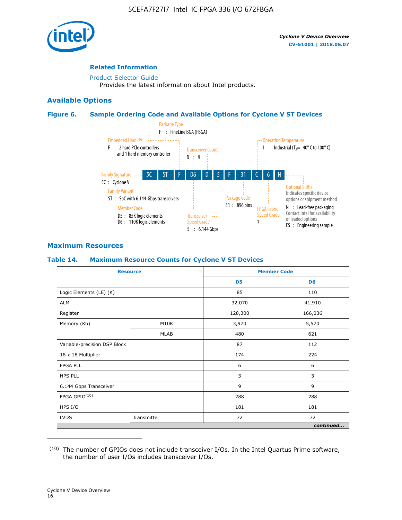

#### **Related Information**

[Product Selector Guide](https://www.altera.com/products/product-selector-guide.html) Provides the latest information about Intel products.

#### **Available Options**

#### **Figure 6. Sample Ordering Code and Available Options for Cyclone V ST Devices**



#### **Maximum Resources**

#### **Table 14. Maximum Resource Counts for Cyclone V ST Devices**

| <b>Resource</b>              |             |                | <b>Member Code</b> |
|------------------------------|-------------|----------------|--------------------|
|                              |             | D <sub>5</sub> | D <sub>6</sub>     |
| Logic Elements (LE) (K)      |             | 85             | 110                |
| <b>ALM</b>                   |             | 32,070         | 41,910             |
| Register                     |             | 128,300        | 166,036            |
| Memory (Kb)                  | M10K        | 3,970          | 5,570              |
|                              | <b>MLAB</b> | 480            | 621                |
| Variable-precision DSP Block |             | 87             | 112                |
| 18 x 18 Multiplier           |             | 174            | 224                |
| <b>FPGA PLL</b>              |             | 6              | 6                  |
| <b>HPS PLL</b>               |             | 3              | 3                  |
| 6.144 Gbps Transceiver       |             | 9              | 9                  |
| FPGA GPIO(10)                |             | 288            | 288                |
| HPS I/O                      |             | 181            | 181                |
| <b>LVDS</b><br>Transmitter   |             | 72             | 72                 |
|                              |             |                | continued          |

<sup>(10)</sup> The number of GPIOs does not include transceiver I/Os. In the Intel Quartus Prime software, the number of user I/Os includes transceiver I/Os.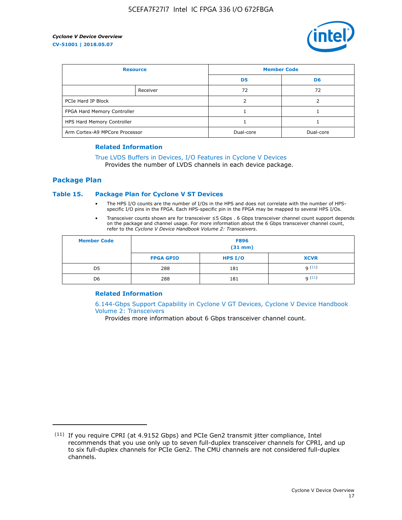

| <b>Resource</b>                |          | <b>Member Code</b> |                |  |
|--------------------------------|----------|--------------------|----------------|--|
|                                |          | D <sub>5</sub>     | D <sub>6</sub> |  |
|                                | Receiver | 72                 | 72             |  |
| PCIe Hard IP Block             |          |                    |                |  |
| FPGA Hard Memory Controller    |          |                    |                |  |
| HPS Hard Memory Controller     |          |                    |                |  |
| Arm Cortex-A9 MPCore Processor |          | Dual-core          | Dual-core      |  |

#### **Related Information**

## [True LVDS Buffers in Devices, I/O Features in Cyclone V Devices](https://www.altera.com/documentation/sam1403481100977.html#sam1403480885395)

Provides the number of LVDS channels in each device package.

#### **Package Plan**

#### **Table 15. Package Plan for Cyclone V ST Devices**

- The HPS I/O counts are the number of I/Os in the HPS and does not correlate with the number of HPSspecific I/O pins in the FPGA. Each HPS-specific pin in the FPGA may be mapped to several HPS I/Os.
- Transceiver counts shown are for transceiver ≤5 Gbps . 6 Gbps transceiver channel count support depends on the package and channel usage. For more information about the 6 Gbps transceiver channel count, refer to the *Cyclone V Device Handbook Volume 2: Transceivers*.

| <b>Member Code</b> | <b>F896</b><br>$(31$ mm $)$ |           |             |  |  |
|--------------------|-----------------------------|-----------|-------------|--|--|
|                    | <b>FPGA GPIO</b>            | HPS $I/O$ | <b>XCVR</b> |  |  |
| D <sub>5</sub>     | 288                         | 181       | 9(11)       |  |  |
| D <sub>6</sub>     | 288                         | 181       | q(11)       |  |  |

#### **Related Information**

[6.144-Gbps Support Capability in Cyclone V GT Devices, Cyclone V Device Handbook](https://www.altera.com/documentation/nik1409855456781.html#nik1409855410757) [Volume 2: Transceivers](https://www.altera.com/documentation/nik1409855456781.html#nik1409855410757)

Provides more information about 6 Gbps transceiver channel count.

<sup>(11)</sup> If you require CPRI (at 4.9152 Gbps) and PCIe Gen2 transmit jitter compliance, Intel recommends that you use only up to seven full-duplex transceiver channels for CPRI, and up to six full-duplex channels for PCIe Gen2. The CMU channels are not considered full-duplex channels.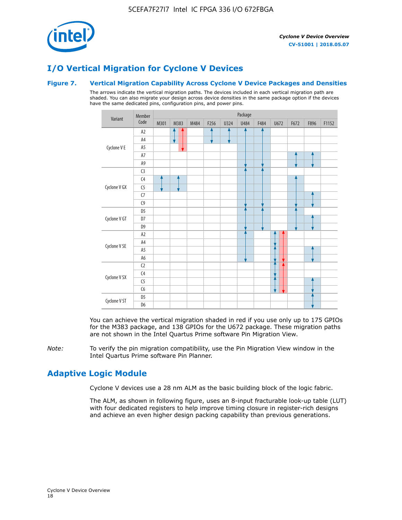

## **I/O Vertical Migration for Cyclone V Devices**

#### **Figure 7. Vertical Migration Capability Across Cyclone V Device Packages and Densities**

The arrows indicate the vertical migration paths. The devices included in each vertical migration path are shaded. You can also migrate your design across device densities in the same package option if the devices have the same dedicated pins, configuration pins, and power pins.



You can achieve the vertical migration shaded in red if you use only up to 175 GPIOs for the M383 package, and 138 GPIOs for the U672 package. These migration paths are not shown in the Intel Quartus Prime software Pin Migration View.

*Note:* To verify the pin migration compatibility, use the Pin Migration View window in the Intel Quartus Prime software Pin Planner.

## **Adaptive Logic Module**

Cyclone V devices use a 28 nm ALM as the basic building block of the logic fabric.

The ALM, as shown in following figure, uses an 8-input fracturable look-up table (LUT) with four dedicated registers to help improve timing closure in register-rich designs and achieve an even higher design packing capability than previous generations.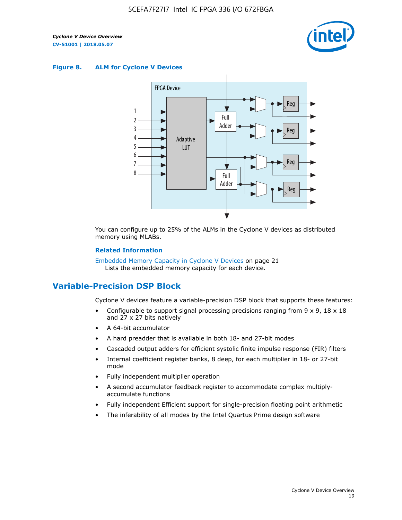

#### **Figure 8. ALM for Cyclone V Devices**



You can configure up to 25% of the ALMs in the Cyclone V devices as distributed memory using MLABs.

#### **Related Information**

Embedded Memory Capacity in Cyclone V Devices on page 21 Lists the embedded memory capacity for each device.

## **Variable-Precision DSP Block**

Cyclone V devices feature a variable-precision DSP block that supports these features:

- Configurable to support signal processing precisions ranging from  $9 \times 9$ ,  $18 \times 18$ and 27 x 27 bits natively
- A 64-bit accumulator
- A hard preadder that is available in both 18- and 27-bit modes
- Cascaded output adders for efficient systolic finite impulse response (FIR) filters
- Internal coefficient register banks, 8 deep, for each multiplier in 18- or 27-bit mode
- Fully independent multiplier operation
- A second accumulator feedback register to accommodate complex multiplyaccumulate functions
- Fully independent Efficient support for single-precision floating point arithmetic
- The inferability of all modes by the Intel Quartus Prime design software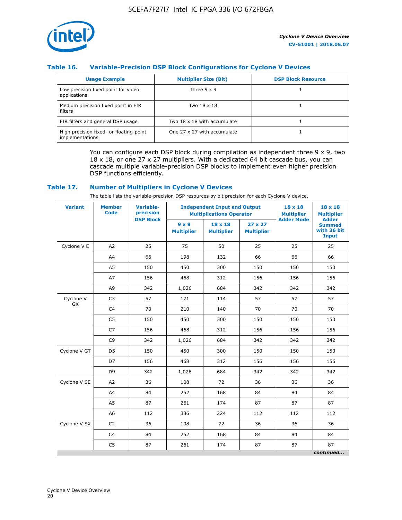

#### **Table 16. Variable-Precision DSP Block Configurations for Cyclone V Devices**

| <b>Usage Example</b>                                       | <b>Multiplier Size (Bit)</b> | <b>DSP Block Resource</b> |
|------------------------------------------------------------|------------------------------|---------------------------|
| Low precision fixed point for video<br>applications        | Three $9 \times 9$           |                           |
| Medium precision fixed point in FIR<br>filters             | Two 18 x 18                  |                           |
| FIR filters and general DSP usage                          | Two 18 x 18 with accumulate  |                           |
| High precision fixed- or floating-point<br>implementations | One 27 x 27 with accumulate  |                           |

You can configure each DSP block during compilation as independent three  $9 \times 9$ , two 18 x 18, or one 27 x 27 multipliers. With a dedicated 64 bit cascade bus, you can cascade multiple variable-precision DSP blocks to implement even higher precision DSP functions efficiently.

#### **Table 17. Number of Multipliers in Cyclone V Devices**

The table lists the variable-precision DSP resources by bit precision for each Cyclone V device.

| <b>Variant</b>  | <b>Member</b><br><b>Code</b> | <b>Variable-</b><br>precision |                                   | <b>Independent Input and Output</b><br><b>Multiplications Operator</b> | $18 \times 18$<br><b>Multiplier</b> | $18 \times 18$<br><b>Multiplier</b> |                                                              |
|-----------------|------------------------------|-------------------------------|-----------------------------------|------------------------------------------------------------------------|-------------------------------------|-------------------------------------|--------------------------------------------------------------|
|                 |                              | <b>DSP Block</b>              | $9 \times 9$<br><b>Multiplier</b> | $18 \times 18$<br><b>Multiplier</b>                                    | $27 \times 27$<br><b>Multiplier</b> | <b>Adder Mode</b>                   | <b>Adder</b><br><b>Summed</b><br>with 36 bit<br><b>Input</b> |
| Cyclone V E     | A2                           | 25                            | 75                                | 50                                                                     | 25                                  | 25                                  | 25                                                           |
|                 | A4                           | 66                            | 198                               | 132                                                                    | 66                                  | 66                                  | 66                                                           |
|                 | A5                           | 150                           | 450                               | 300                                                                    | 150                                 | 150                                 | 150                                                          |
|                 | A7                           | 156                           | 468                               | 312                                                                    | 156                                 | 156                                 | 156                                                          |
|                 | A9                           | 342                           | 1,026                             | 684                                                                    | 342                                 | 342                                 | 342                                                          |
| Cyclone V<br>GX | C <sub>3</sub>               | 57                            | 171                               | 114                                                                    | 57                                  | 57                                  | 57                                                           |
|                 | C <sub>4</sub>               | 70                            | 210                               | 140                                                                    | 70                                  | 70                                  | 70                                                           |
|                 | C <sub>5</sub>               | 150                           | 450                               | 300                                                                    | 150                                 | 150                                 | 150                                                          |
|                 | C7                           | 156                           | 468                               | 312                                                                    | 156                                 | 156                                 | 156                                                          |
|                 | C <sub>9</sub>               | 342                           | 1,026                             | 684                                                                    | 342                                 | 342                                 | 342                                                          |
| Cyclone V GT    | D <sub>5</sub>               | 150                           | 450                               | 300                                                                    | 150                                 | 150                                 | 150                                                          |
|                 | D7                           | 156                           | 468                               | 312                                                                    | 156                                 | 156                                 | 156                                                          |
|                 | D <sub>9</sub>               | 342                           | 1,026                             | 684                                                                    | 342                                 | 342                                 | 342                                                          |
| Cyclone V SE    | A <sub>2</sub>               | 36                            | 108                               | 72                                                                     | 36                                  | 36                                  | 36                                                           |
|                 | A4                           | 84                            | 252                               | 168                                                                    | 84                                  | 84                                  | 84                                                           |
|                 | A5                           | 87                            | 261                               | 174                                                                    | 87                                  | 87                                  | 87                                                           |
|                 | A <sub>6</sub>               | 112                           | 336                               | 224                                                                    | 112                                 | 112                                 | 112                                                          |
| Cyclone V SX    | C <sub>2</sub>               | 36                            | 108                               | 72                                                                     | 36                                  | 36                                  | 36                                                           |
|                 | C <sub>4</sub>               | 84                            | 252                               | 168                                                                    | 84                                  | 84                                  | 84                                                           |
|                 | C <sub>5</sub>               | 87                            | 261                               | 174                                                                    | 87                                  | 87                                  | 87                                                           |
|                 |                              |                               |                                   |                                                                        |                                     |                                     | continued                                                    |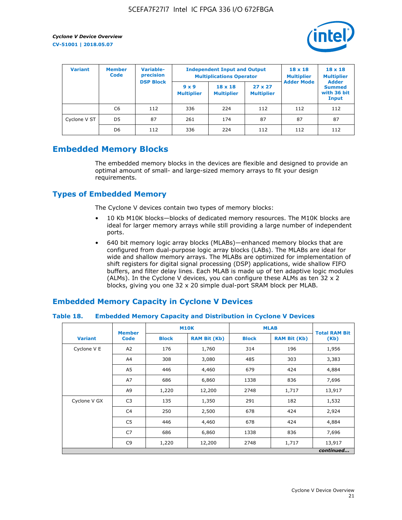

| <b>Variant</b> | <b>Variable-</b><br><b>Member</b><br>precision<br><b>Code</b> |                  | <b>Independent Input and Output</b><br><b>Multiplications Operator</b> | $18 \times 18$<br><b>Multiplier</b> | $18 \times 18$<br><b>Multiplier</b><br><b>Adder</b> |                   |                                       |
|----------------|---------------------------------------------------------------|------------------|------------------------------------------------------------------------|-------------------------------------|-----------------------------------------------------|-------------------|---------------------------------------|
|                |                                                               | <b>DSP Block</b> | $9 \times 9$<br><b>Multiplier</b>                                      | $18 \times 18$<br><b>Multiplier</b> | $27 \times 27$<br><b>Multiplier</b>                 | <b>Adder Mode</b> | <b>Summed</b><br>with 36 bit<br>Input |
|                | C6                                                            | 112              | 336                                                                    | 224                                 | 112                                                 | 112               | 112                                   |
| Cyclone V ST   | D <sub>5</sub>                                                | 87               | 261                                                                    | 174                                 | 87                                                  | 87                | 87                                    |
|                | D <sub>6</sub>                                                | 112              | 336                                                                    | 224                                 | 112                                                 | 112               | 112                                   |

## **Embedded Memory Blocks**

The embedded memory blocks in the devices are flexible and designed to provide an optimal amount of small- and large-sized memory arrays to fit your design requirements.

## **Types of Embedded Memory**

The Cyclone V devices contain two types of memory blocks:

- 10 Kb M10K blocks—blocks of dedicated memory resources. The M10K blocks are ideal for larger memory arrays while still providing a large number of independent ports.
- 640 bit memory logic array blocks (MLABs)—enhanced memory blocks that are configured from dual-purpose logic array blocks (LABs). The MLABs are ideal for wide and shallow memory arrays. The MLABs are optimized for implementation of shift registers for digital signal processing (DSP) applications, wide shallow FIFO buffers, and filter delay lines. Each MLAB is made up of ten adaptive logic modules (ALMs). In the Cyclone V devices, you can configure these ALMs as ten 32 x 2 blocks, giving you one 32 x 20 simple dual-port SRAM block per MLAB.

## **Embedded Memory Capacity in Cyclone V Devices**

#### **Table 18. Embedded Memory Capacity and Distribution in Cyclone V Devices**

|                | <b>Member</b>  | <b>M10K</b>                         |        | <b>MLAB</b>  | <b>Total RAM Bit</b> |           |
|----------------|----------------|-------------------------------------|--------|--------------|----------------------|-----------|
| <b>Variant</b> | <b>Code</b>    | <b>Block</b><br><b>RAM Bit (Kb)</b> |        | <b>Block</b> | <b>RAM Bit (Kb)</b>  | (Kb)      |
| Cyclone V E    | A2             | 176                                 | 1,760  | 314          | 196                  | 1,956     |
|                | A4             | 308                                 | 3,080  | 485          | 303                  | 3,383     |
|                | A5             | 446                                 | 4,460  | 679          | 424                  | 4,884     |
|                | A7             | 686                                 | 6,860  | 1338         | 836                  | 7,696     |
|                | A9             | 1,220                               | 12,200 | 2748         | 1,717                | 13,917    |
| Cyclone V GX   | C <sub>3</sub> | 135                                 | 1,350  | 291          | 182                  | 1,532     |
|                | C4             | 250                                 | 2,500  | 678          | 424                  | 2,924     |
|                | C <sub>5</sub> | 446                                 | 4,460  | 678          | 424                  | 4,884     |
|                | C7             | 686                                 | 6,860  | 1338         | 836                  | 7,696     |
|                | C <sub>9</sub> | 1,220                               | 12,200 | 2748         | 1,717                | 13,917    |
|                |                |                                     |        |              |                      | continued |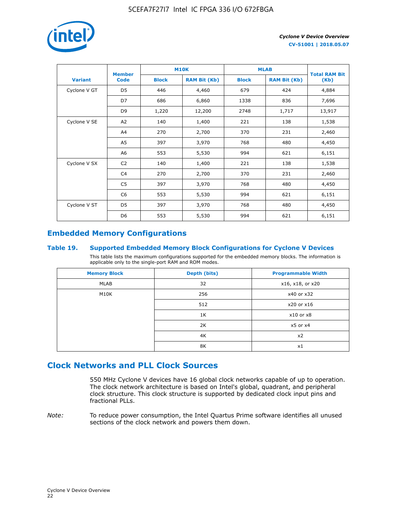

|                | <b>Member</b>  | <b>M10K</b>  |                     | <b>MLAB</b>  | <b>Total RAM Bit</b> |        |
|----------------|----------------|--------------|---------------------|--------------|----------------------|--------|
| <b>Variant</b> | <b>Code</b>    | <b>Block</b> | <b>RAM Bit (Kb)</b> | <b>Block</b> | <b>RAM Bit (Kb)</b>  | (Kb)   |
| Cyclone V GT   | D <sub>5</sub> | 446          | 4,460               | 679          | 424                  | 4,884  |
|                | D7             | 686          | 6,860               | 1338         | 836                  | 7,696  |
|                | D <sub>9</sub> | 1,220        | 12,200              | 2748         | 1,717                | 13,917 |
| Cyclone V SE   | A <sub>2</sub> | 140          | 1,400               | 221          | 138                  | 1,538  |
|                | A4             | 270          | 2,700               | 370          | 231                  | 2,460  |
|                | A5             | 397          | 3,970               | 768          | 480                  | 4,450  |
|                | A6             | 553          | 5,530               | 994          | 621                  | 6,151  |
| Cyclone V SX   | C <sub>2</sub> | 140          | 1,400               | 221          | 138                  | 1,538  |
|                | C4             | 270          | 2,700               | 370          | 231                  | 2,460  |
|                | C5             | 397          | 3,970               | 768          | 480                  | 4,450  |
|                | C6             | 553          | 5,530               | 994          | 621                  | 6,151  |
| Cyclone V ST   | D <sub>5</sub> | 397          | 3,970               | 768          | 480                  | 4,450  |
|                | D <sub>6</sub> | 553          | 5,530               | 994          | 621                  | 6,151  |

## **Embedded Memory Configurations**

#### **Table 19. Supported Embedded Memory Block Configurations for Cyclone V Devices**

This table lists the maximum configurations supported for the embedded memory blocks. The information is applicable only to the single-port RAM and ROM modes.

| <b>Memory Block</b> | Depth (bits) | <b>Programmable Width</b> |
|---------------------|--------------|---------------------------|
| MLAB                | 32           | x16, x18, or x20          |
| M10K                | 256          | x40 or x32                |
|                     | 512          | x20 or x16                |
|                     | 1K           | $x10$ or $x8$             |
|                     | 2K           | $x5$ or $x4$              |
|                     | 4K           | x2                        |
|                     | 8K           | x1                        |

## **Clock Networks and PLL Clock Sources**

550 MHz Cyclone V devices have 16 global clock networks capable of up to operation. The clock network architecture is based on Intel's global, quadrant, and peripheral clock structure. This clock structure is supported by dedicated clock input pins and fractional PLLs.

*Note:* To reduce power consumption, the Intel Quartus Prime software identifies all unused sections of the clock network and powers them down.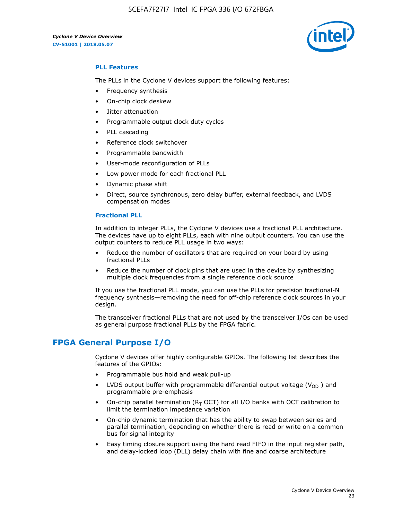5CEFA7F27I7 Intel IC FPGA 336 I/O 672FBGA



#### **PLL Features**

The PLLs in the Cyclone V devices support the following features:

- Frequency synthesis
- On-chip clock deskew
- Jitter attenuation
- Programmable output clock duty cycles
- PLL cascading
- Reference clock switchover
- Programmable bandwidth
- User-mode reconfiguration of PLLs
- Low power mode for each fractional PLL
- Dynamic phase shift
- Direct, source synchronous, zero delay buffer, external feedback, and LVDS compensation modes

#### **Fractional PLL**

In addition to integer PLLs, the Cyclone V devices use a fractional PLL architecture. The devices have up to eight PLLs, each with nine output counters. You can use the output counters to reduce PLL usage in two ways:

- Reduce the number of oscillators that are required on your board by using fractional PLLs
- Reduce the number of clock pins that are used in the device by synthesizing multiple clock frequencies from a single reference clock source

If you use the fractional PLL mode, you can use the PLLs for precision fractional-N frequency synthesis—removing the need for off-chip reference clock sources in your design.

The transceiver fractional PLLs that are not used by the transceiver I/Os can be used as general purpose fractional PLLs by the FPGA fabric.

## **FPGA General Purpose I/O**

Cyclone V devices offer highly configurable GPIOs. The following list describes the features of the GPIOs:

- Programmable bus hold and weak pull-up
- LVDS output buffer with programmable differential output voltage ( $V_{OD}$ ) and programmable pre-emphasis
- On-chip parallel termination ( $R<sub>T</sub>$  OCT) for all I/O banks with OCT calibration to limit the termination impedance variation
- On-chip dynamic termination that has the ability to swap between series and parallel termination, depending on whether there is read or write on a common bus for signal integrity
- Easy timing closure support using the hard read FIFO in the input register path, and delay-locked loop (DLL) delay chain with fine and coarse architecture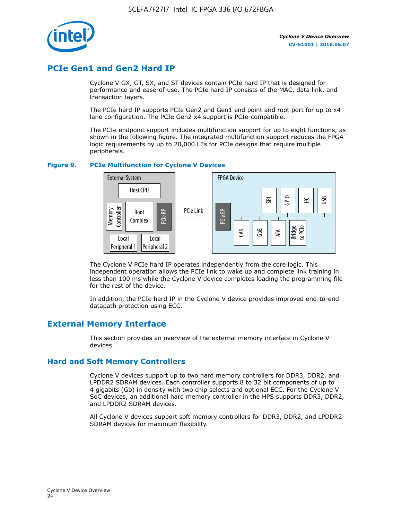

## **PCIe Gen1 and Gen2 Hard IP**

Cyclone V GX, GT, SX, and ST devices contain PCIe hard IP that is designed for performance and ease-of-use. The PCIe hard IP consists of the MAC, data link, and transaction layers.

The PCIe hard IP supports PCIe Gen2 and Gen1 end point and root port for up to x4 lane configuration. The PCIe Gen2 x4 support is PCIe-compatible.

The PCIe endpoint support includes multifunction support for up to eight functions, as shown in the following figure. The integrated multifunction support reduces the FPGA logic requirements by up to 20,000 LEs for PCIe designs that require multiple peripherals.

#### **Figure 9. PCIe Multifunction for Cyclone V Devices**



The Cyclone V PCIe hard IP operates independently from the core logic. This independent operation allows the PCIe link to wake up and complete link training in less than 100 ms while the Cyclone V device completes loading the programming file for the rest of the device.

In addition, the PCIe hard IP in the Cyclone V device provides improved end-to-end datapath protection using ECC.

## **External Memory Interface**

This section provides an overview of the external memory interface in Cyclone V devices.

#### **Hard and Soft Memory Controllers**

Cyclone V devices support up to two hard memory controllers for DDR3, DDR2, and LPDDR2 SDRAM devices. Each controller supports 8 to 32 bit components of up to 4 gigabits (Gb) in density with two chip selects and optional ECC. For the Cyclone V SoC devices, an additional hard memory controller in the HPS supports DDR3, DDR2, and LPDDR2 SDRAM devices.

All Cyclone V devices support soft memory controllers for DDR3, DDR2, and LPDDR2 SDRAM devices for maximum flexibility.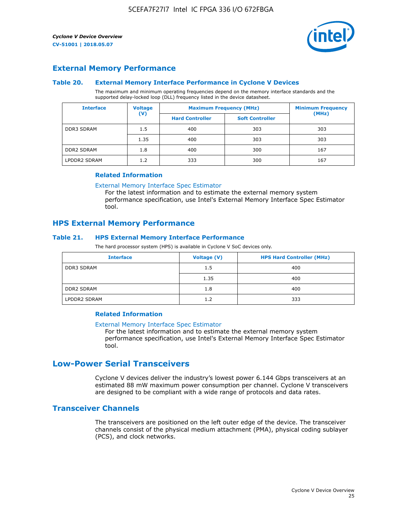

#### **External Memory Performance**

#### **Table 20. External Memory Interface Performance in Cyclone V Devices**

The maximum and minimum operating frequencies depend on the memory interface standards and the supported delay-locked loop (DLL) frequency listed in the device datasheet.

| <b>Interface</b>  | <b>Voltage</b> | <b>Maximum Frequency (MHz)</b> |                        | <b>Minimum Frequency</b><br>(MHz) |  |
|-------------------|----------------|--------------------------------|------------------------|-----------------------------------|--|
|                   | $(\mathsf{V})$ | <b>Hard Controller</b>         | <b>Soft Controller</b> |                                   |  |
| <b>DDR3 SDRAM</b> | 1.5            | 400                            | 303                    | 303                               |  |
|                   | 1.35           | 400                            | 303                    | 303                               |  |
| <b>DDR2 SDRAM</b> | 1.8            | 400                            | 300                    | 167                               |  |
| LPDDR2 SDRAM      | 1.2            | 333                            | 300                    | 167                               |  |

#### **Related Information**

[External Memory Interface Spec Estimator](https://www.altera.com/solutions/technology/external-memory/spec-estimator.html)

For the latest information and to estimate the external memory system performance specification, use Intel's External Memory Interface Spec Estimator tool.

#### **HPS External Memory Performance**

#### **Table 21. HPS External Memory Interface Performance**

The hard processor system (HPS) is available in Cyclone V SoC devices only.

| <b>Interface</b>  | Voltage (V) | <b>HPS Hard Controller (MHz)</b> |
|-------------------|-------------|----------------------------------|
| <b>DDR3 SDRAM</b> | 1.5         | 400                              |
|                   | 1.35        | 400                              |
| <b>DDR2 SDRAM</b> | 1.8         | 400                              |
| LPDDR2 SDRAM      | 1.2         | 333                              |

#### **Related Information**

#### [External Memory Interface Spec Estimator](https://www.altera.com/solutions/technology/external-memory/spec-estimator.html)

For the latest information and to estimate the external memory system performance specification, use Intel's External Memory Interface Spec Estimator tool.

## **Low-Power Serial Transceivers**

Cyclone V devices deliver the industry's lowest power 6.144 Gbps transceivers at an estimated 88 mW maximum power consumption per channel. Cyclone V transceivers are designed to be compliant with a wide range of protocols and data rates.

#### **Transceiver Channels**

The transceivers are positioned on the left outer edge of the device. The transceiver channels consist of the physical medium attachment (PMA), physical coding sublayer (PCS), and clock networks.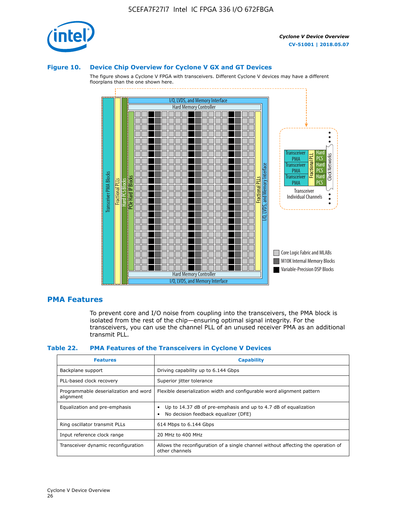

#### **Figure 10. Device Chip Overview for Cyclone V GX and GT Devices**

The figure shows a Cyclone V FPGA with transceivers. Different Cyclone V devices may have a different floorplans than the one shown here.



#### **PMA Features**

To prevent core and I/O noise from coupling into the transceivers, the PMA block is isolated from the rest of the chip—ensuring optimal signal integrity. For the transceivers, you can use the channel PLL of an unused receiver PMA as an additional transmit PLL.

#### **Table 22. PMA Features of the Transceivers in Cyclone V Devices**

| <b>Features</b>                                    | <b>Capability</b>                                                                                       |
|----------------------------------------------------|---------------------------------------------------------------------------------------------------------|
| Backplane support                                  | Driving capability up to 6.144 Gbps                                                                     |
| PLL-based clock recovery                           | Superior jitter tolerance                                                                               |
| Programmable deserialization and word<br>alignment | Flexible deserialization width and configurable word alignment pattern                                  |
| Equalization and pre-emphasis                      | Up to 14.37 dB of pre-emphasis and up to 4.7 dB of equalization<br>No decision feedback equalizer (DFE) |
| Ring oscillator transmit PLLs                      | 614 Mbps to 6.144 Gbps                                                                                  |
| Input reference clock range                        | 20 MHz to 400 MHz                                                                                       |
| Transceiver dynamic reconfiguration                | Allows the reconfiguration of a single channel without affecting the operation of<br>other channels     |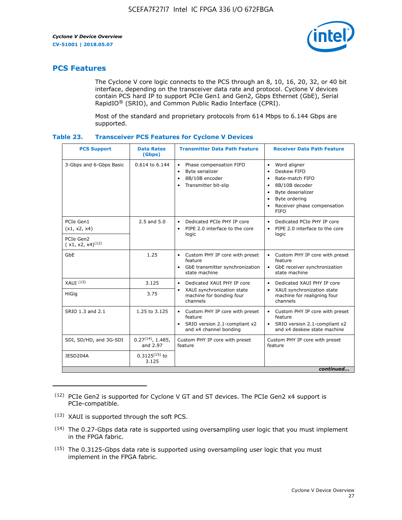

## **PCS Features**

The Cyclone V core logic connects to the PCS through an 8, 10, 16, 20, 32, or 40 bit interface, depending on the transceiver data rate and protocol. Cyclone V devices contain PCS hard IP to support PCIe Gen1 and Gen2, Gbps Ethernet (GbE), Serial RapidIO® (SRIO), and Common Public Radio Interface (CPRI).

Most of the standard and proprietary protocols from 614 Mbps to 6.144 Gbps are supported.

| Table 23. | <b>Transceiver PCS Features for Cyclone V Devices</b> |  |  |  |
|-----------|-------------------------------------------------------|--|--|--|
|-----------|-------------------------------------------------------|--|--|--|

| <b>PCS Support</b>                 | <b>Data Rates</b><br>(Gbps)        | <b>Transmitter Data Path Feature</b>                                                                         | <b>Receiver Data Path Feature</b>                                                                                                                                                                                                  |  |  |  |
|------------------------------------|------------------------------------|--------------------------------------------------------------------------------------------------------------|------------------------------------------------------------------------------------------------------------------------------------------------------------------------------------------------------------------------------------|--|--|--|
| 3-Gbps and 6-Gbps Basic            | 0.614 to 6.144                     | • Phase compensation FIFO<br>Byte serializer<br>8B/10B encoder<br>Transmitter bit-slip                       | Word aligner<br>$\bullet$<br>Deskew FIFO<br>$\bullet$<br>Rate-match FIFO<br>$\bullet$<br>8B/10B decoder<br>$\bullet$<br>Byte deserializer<br>$\bullet$<br>Byte ordering<br>$\bullet$<br>Receiver phase compensation<br><b>FIFO</b> |  |  |  |
| PCIe Gen1<br>(x1, x2, x4)          | $2.5$ and $5.0$                    | Dedicated PCIe PHY IP core<br>PIPE 2.0 interface to the core<br>$\bullet$<br>logic                           | Dedicated PCIe PHY IP core<br>$\bullet$<br>PIPE 2.0 interface to the core<br>$\bullet$<br>logic                                                                                                                                    |  |  |  |
| PCIe Gen2<br>$(x1, x2, x4)^{(12)}$ |                                    |                                                                                                              |                                                                                                                                                                                                                                    |  |  |  |
| GbE                                | 1.25                               | • Custom PHY IP core with preset<br>feature<br>GbE transmitter synchronization<br>$\bullet$<br>state machine | • Custom PHY IP core with preset<br>feature<br>GbE receiver synchronization<br>state machine                                                                                                                                       |  |  |  |
| $XAUI$ $(13)$                      | 3.125                              | Dedicated XAUI PHY IP core<br>$\bullet$                                                                      | Dedicated XAUI PHY IP core<br>$\bullet$                                                                                                                                                                                            |  |  |  |
| <b>HiGig</b>                       | 3.75                               | XAUI synchronization state<br>$\bullet$<br>machine for bonding four<br>channels                              | XAUI synchronization state<br>$\bullet$<br>machine for realigning four<br>channels                                                                                                                                                 |  |  |  |
| SRIO 1.3 and 2.1                   | 1.25 to 3.125                      | • Custom PHY IP core with preset<br>feature<br>• SRIO version 2.1-compliant x2<br>and x4 channel bonding     | • Custom PHY IP core with preset<br>feature<br>• SRIO version 2.1-compliant x2<br>and x4 deskew state machine                                                                                                                      |  |  |  |
| SDI, SD/HD, and 3G-SDI             | $0.27^{(14)}$ , 1.485,<br>and 2.97 | Custom PHY IP core with preset<br>feature                                                                    | Custom PHY IP core with preset<br>feature                                                                                                                                                                                          |  |  |  |
| JESD204A                           | $0.3125^{(15)}$ to<br>3.125        |                                                                                                              |                                                                                                                                                                                                                                    |  |  |  |
| continued                          |                                    |                                                                                                              |                                                                                                                                                                                                                                    |  |  |  |

<sup>(12)</sup> PCIe Gen2 is supported for Cyclone V GT and ST devices. The PCIe Gen2 x4 support is PCIe-compatible.

<sup>(13)</sup> XAUI is supported through the soft PCS.

<sup>(14)</sup> The 0.27-Gbps data rate is supported using oversampling user logic that you must implement in the FPGA fabric.

<sup>(15)</sup> The 0.3125-Gbps data rate is supported using oversampling user logic that you must implement in the FPGA fabric.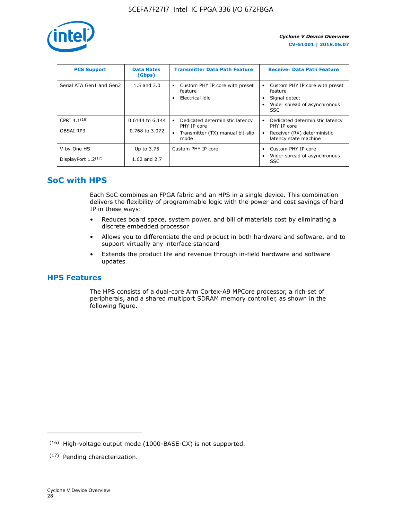

| <b>PCS Support</b>       | <b>Data Rates</b><br>(Gbps) | <b>Transmitter Data Path Feature</b>                         | <b>Receiver Data Path Feature</b>                                                                  |
|--------------------------|-----------------------------|--------------------------------------------------------------|----------------------------------------------------------------------------------------------------|
| Serial ATA Gen1 and Gen2 | $1.5$ and $3.0$             | Custom PHY IP core with preset<br>feature<br>Electrical idle | Custom PHY IP core with preset<br>feature<br>Signal detect<br>Wider spread of asynchronous<br>SSC. |
| CPRI $4.1^{(16)}$        | 0.6144 to 6.144             | Dedicated deterministic latency<br>$\bullet$<br>PHY IP core  | Dedicated deterministic latency<br>PHY IP core                                                     |
| OBSAI RP3                | 0.768 to 3.072              | Transmitter (TX) manual bit-slip<br>mode                     | Receiver (RX) deterministic<br>latency state machine                                               |
| V-by-One HS              | Up to 3.75                  | Custom PHY IP core                                           | Custom PHY IP core                                                                                 |
| DisplayPort $1.2^{(17)}$ | 1.62 and $2.7$              |                                                              | Wider spread of asynchronous<br><b>SSC</b>                                                         |

## **SoC with HPS**

Each SoC combines an FPGA fabric and an HPS in a single device. This combination delivers the flexibility of programmable logic with the power and cost savings of hard IP in these ways:

- Reduces board space, system power, and bill of materials cost by eliminating a discrete embedded processor
- Allows you to differentiate the end product in both hardware and software, and to support virtually any interface standard
- Extends the product life and revenue through in-field hardware and software updates

## **HPS Features**

The HPS consists of a dual-core Arm Cortex-A9 MPCore processor, a rich set of peripherals, and a shared multiport SDRAM memory controller, as shown in the following figure.

<sup>(16)</sup> High-voltage output mode (1000-BASE-CX) is not supported.

<sup>(17)</sup> Pending characterization.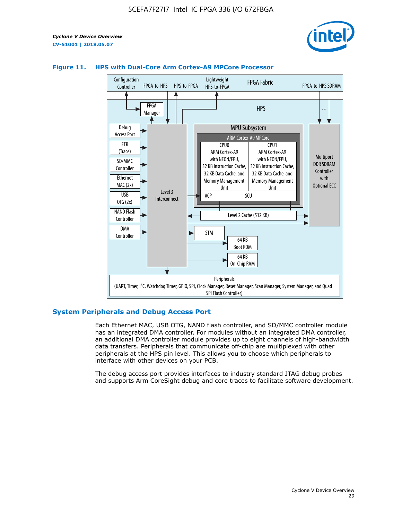



#### **Figure 11. HPS with Dual-Core Arm Cortex-A9 MPCore Processor**

#### **System Peripherals and Debug Access Port**

Each Ethernet MAC, USB OTG, NAND flash controller, and SD/MMC controller module has an integrated DMA controller. For modules without an integrated DMA controller, an additional DMA controller module provides up to eight channels of high-bandwidth data transfers. Peripherals that communicate off-chip are multiplexed with other peripherals at the HPS pin level. This allows you to choose which peripherals to interface with other devices on your PCB.

The debug access port provides interfaces to industry standard JTAG debug probes and supports Arm CoreSight debug and core traces to facilitate software development.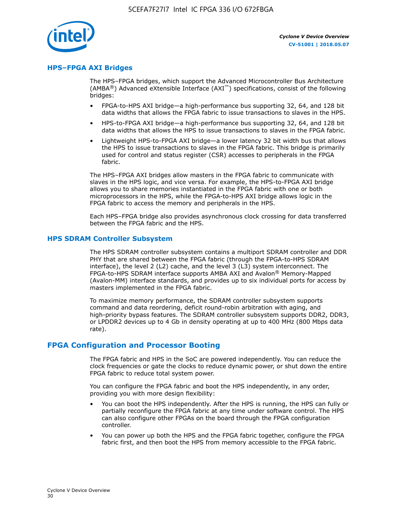

#### **HPS–FPGA AXI Bridges**

The HPS–FPGA bridges, which support the Advanced Microcontroller Bus Architecture (AMBA<sup>®</sup>) Advanced eXtensible Interface (AXI<sup>™</sup>) specifications, consist of the following bridges:

- FPGA-to-HPS AXI bridge—a high-performance bus supporting 32, 64, and 128 bit data widths that allows the FPGA fabric to issue transactions to slaves in the HPS.
- HPS-to-FPGA AXI bridge—a high-performance bus supporting 32, 64, and 128 bit data widths that allows the HPS to issue transactions to slaves in the FPGA fabric.
- Lightweight HPS-to-FPGA AXI bridge—a lower latency 32 bit width bus that allows the HPS to issue transactions to slaves in the FPGA fabric. This bridge is primarily used for control and status register (CSR) accesses to peripherals in the FPGA fabric.

The HPS–FPGA AXI bridges allow masters in the FPGA fabric to communicate with slaves in the HPS logic, and vice versa. For example, the HPS-to-FPGA AXI bridge allows you to share memories instantiated in the FPGA fabric with one or both microprocessors in the HPS, while the FPGA-to-HPS AXI bridge allows logic in the FPGA fabric to access the memory and peripherals in the HPS.

Each HPS–FPGA bridge also provides asynchronous clock crossing for data transferred between the FPGA fabric and the HPS.

#### **HPS SDRAM Controller Subsystem**

The HPS SDRAM controller subsystem contains a multiport SDRAM controller and DDR PHY that are shared between the FPGA fabric (through the FPGA-to-HPS SDRAM interface), the level 2 (L2) cache, and the level 3 (L3) system interconnect. The FPGA-to-HPS SDRAM interface supports AMBA AXI and Avalon® Memory-Mapped (Avalon-MM) interface standards, and provides up to six individual ports for access by masters implemented in the FPGA fabric.

To maximize memory performance, the SDRAM controller subsystem supports command and data reordering, deficit round-robin arbitration with aging, and high-priority bypass features. The SDRAM controller subsystem supports DDR2, DDR3, or LPDDR2 devices up to 4 Gb in density operating at up to 400 MHz (800 Mbps data rate).

#### **FPGA Configuration and Processor Booting**

The FPGA fabric and HPS in the SoC are powered independently. You can reduce the clock frequencies or gate the clocks to reduce dynamic power, or shut down the entire FPGA fabric to reduce total system power.

You can configure the FPGA fabric and boot the HPS independently, in any order, providing you with more design flexibility:

- You can boot the HPS independently. After the HPS is running, the HPS can fully or partially reconfigure the FPGA fabric at any time under software control. The HPS can also configure other FPGAs on the board through the FPGA configuration controller.
- You can power up both the HPS and the FPGA fabric together, configure the FPGA fabric first, and then boot the HPS from memory accessible to the FPGA fabric.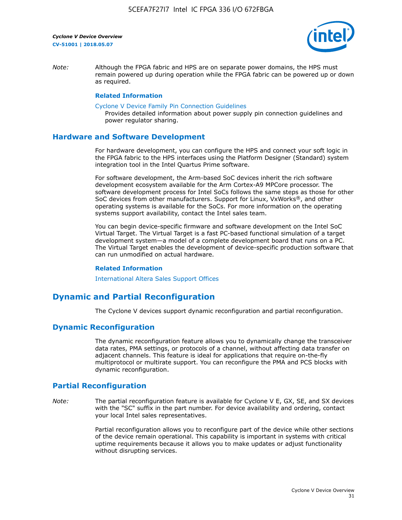

*Note:* Although the FPGA fabric and HPS are on separate power domains, the HPS must remain powered up during operation while the FPGA fabric can be powered up or down as required.

#### **Related Information**

[Cyclone V Device Family Pin Connection Guidelines](https://www.altera.com/content/dam/altera-www/global/en_US/pdfs/literature/dp/cyclone-v/pcg-01014.pdf)

Provides detailed information about power supply pin connection guidelines and power regulator sharing.

#### **Hardware and Software Development**

For hardware development, you can configure the HPS and connect your soft logic in the FPGA fabric to the HPS interfaces using the Platform Designer (Standard) system integration tool in the Intel Quartus Prime software.

For software development, the Arm-based SoC devices inherit the rich software development ecosystem available for the Arm Cortex-A9 MPCore processor. The software development process for Intel SoCs follows the same steps as those for other SoC devices from other manufacturers. Support for Linux, VxWorks®, and other operating systems is available for the SoCs. For more information on the operating systems support availability, contact the Intel sales team.

You can begin device-specific firmware and software development on the Intel SoC Virtual Target. The Virtual Target is a fast PC-based functional simulation of a target development system—a model of a complete development board that runs on a PC. The Virtual Target enables the development of device-specific production software that can run unmodified on actual hardware.

#### **Related Information**

[International Altera Sales Support Offices](https://www.altera.com/about/contact/contact/international-altera-sales-offices.html)

## **Dynamic and Partial Reconfiguration**

The Cyclone V devices support dynamic reconfiguration and partial reconfiguration.

#### **Dynamic Reconfiguration**

The dynamic reconfiguration feature allows you to dynamically change the transceiver data rates, PMA settings, or protocols of a channel, without affecting data transfer on adjacent channels. This feature is ideal for applications that require on-the-fly multiprotocol or multirate support. You can reconfigure the PMA and PCS blocks with dynamic reconfiguration.

## **Partial Reconfiguration**

*Note:* The partial reconfiguration feature is available for Cyclone V E, GX, SE, and SX devices with the "SC" suffix in the part number. For device availability and ordering, contact your local Intel sales representatives.

> Partial reconfiguration allows you to reconfigure part of the device while other sections of the device remain operational. This capability is important in systems with critical uptime requirements because it allows you to make updates or adjust functionality without disrupting services.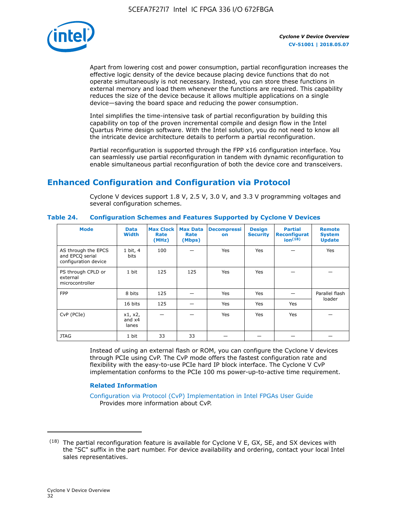

Apart from lowering cost and power consumption, partial reconfiguration increases the effective logic density of the device because placing device functions that do not operate simultaneously is not necessary. Instead, you can store these functions in external memory and load them whenever the functions are required. This capability reduces the size of the device because it allows multiple applications on a single device—saving the board space and reducing the power consumption.

Intel simplifies the time-intensive task of partial reconfiguration by building this capability on top of the proven incremental compile and design flow in the Intel Quartus Prime design software. With the Intel solution, you do not need to know all the intricate device architecture details to perform a partial reconfiguration.

Partial reconfiguration is supported through the FPP x16 configuration interface. You can seamlessly use partial reconfiguration in tandem with dynamic reconfiguration to enable simultaneous partial reconfiguration of both the device core and transceivers.

## **Enhanced Configuration and Configuration via Protocol**

Cyclone V devices support 1.8 V, 2.5 V, 3.0 V, and 3.3 V programming voltages and several configuration schemes.

| <b>Mode</b>                                                    | <b>Data</b><br>Width         | Max Clock  <br>Rate<br>(MHz) | <b>Max Data</b><br>Rate<br>(Mbps) | <b>Decompressi</b><br>on | <b>Design</b><br><b>Security</b> | <b>Partial</b><br><b>Reconfigurat</b><br>ion <sup>(18)</sup> | <b>Remote</b><br><b>System</b><br><b>Update</b> |
|----------------------------------------------------------------|------------------------------|------------------------------|-----------------------------------|--------------------------|----------------------------------|--------------------------------------------------------------|-------------------------------------------------|
| AS through the EPCS<br>and EPCQ serial<br>configuration device | 1 bit, 4<br>bits             | 100                          |                                   | Yes                      | <b>Yes</b>                       |                                                              | Yes                                             |
| PS through CPLD or<br>external<br>microcontroller              | 1 bit                        | 125                          | 125                               | Yes                      | <b>Yes</b>                       |                                                              |                                                 |
| <b>FPP</b>                                                     | 8 bits                       | 125                          |                                   | Yes                      | <b>Yes</b>                       |                                                              | Parallel flash                                  |
|                                                                | 16 bits                      | 125                          |                                   | Yes                      | <b>Yes</b>                       | Yes                                                          | loader                                          |
| CvP (PCIe)                                                     | x1, x2,<br>and $x4$<br>lanes |                              |                                   | Yes                      | <b>Yes</b>                       | Yes                                                          |                                                 |
| <b>JTAG</b>                                                    | 1 bit                        | 33                           | 33                                |                          |                                  |                                                              |                                                 |

**Table 24. Configuration Schemes and Features Supported by Cyclone V Devices**

Instead of using an external flash or ROM, you can configure the Cyclone V devices through PCIe using CvP. The CvP mode offers the fastest configuration rate and flexibility with the easy-to-use PCIe hard IP block interface. The Cyclone V CvP implementation conforms to the PCIe 100 ms power-up-to-active time requirement.

#### **Related Information**

[Configuration via Protocol \(CvP\) Implementation in Intel FPGAs User Guide](https://www.altera.com/documentation/nik1412546950394.html#nik1412546833714) Provides more information about CvP.

 $(18)$  The partial reconfiguration feature is available for Cyclone V E, GX, SE, and SX devices with the "SC" suffix in the part number. For device availability and ordering, contact your local Intel sales representatives.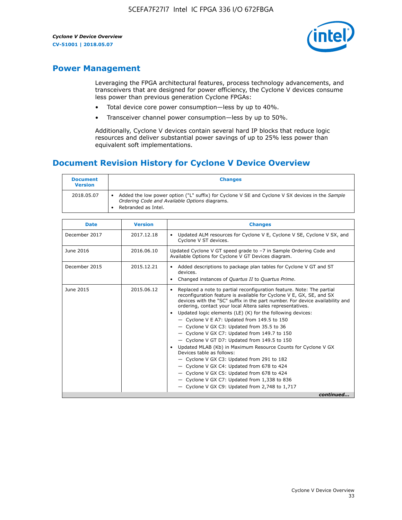

## **Power Management**

Leveraging the FPGA architectural features, process technology advancements, and transceivers that are designed for power efficiency, the Cyclone V devices consume less power than previous generation Cyclone FPGAs:

- Total device core power consumption—less by up to 40%.
- Transceiver channel power consumption—less by up to 50%.

Additionally, Cyclone V devices contain several hard IP blocks that reduce logic resources and deliver substantial power savings of up to 25% less power than equivalent soft implementations.

## **Document Revision History for Cyclone V Device Overview**

| <b>Document</b><br><b>Version</b> | <b>Changes</b>                                                                                                                                                          |
|-----------------------------------|-------------------------------------------------------------------------------------------------------------------------------------------------------------------------|
| 2018.05.07                        | Added the low power option ("L" suffix) for Cyclone V SE and Cyclone V SX devices in the Sample<br>Ordering Code and Available Options diagrams.<br>Rebranded as Intel. |

| <b>Date</b>   | <b>Version</b> | <b>Changes</b>                                                                                                                                                                                                                                                                                                                                                                                                                                                                                                                                                                                                                                                                                                                                                                                                                                                                                                  |
|---------------|----------------|-----------------------------------------------------------------------------------------------------------------------------------------------------------------------------------------------------------------------------------------------------------------------------------------------------------------------------------------------------------------------------------------------------------------------------------------------------------------------------------------------------------------------------------------------------------------------------------------------------------------------------------------------------------------------------------------------------------------------------------------------------------------------------------------------------------------------------------------------------------------------------------------------------------------|
| December 2017 | 2017.12.18     | Updated ALM resources for Cyclone V E, Cyclone V SE, Cyclone V SX, and<br>Cyclone V ST devices.                                                                                                                                                                                                                                                                                                                                                                                                                                                                                                                                                                                                                                                                                                                                                                                                                 |
| June 2016     | 2016.06.10     | Updated Cyclone V GT speed grade to -7 in Sample Ordering Code and<br>Available Options for Cyclone V GT Devices diagram.                                                                                                                                                                                                                                                                                                                                                                                                                                                                                                                                                                                                                                                                                                                                                                                       |
| December 2015 | 2015.12.21     | Added descriptions to package plan tables for Cyclone V GT and ST<br>devices.<br>Changed instances of Quartus II to Quartus Prime.                                                                                                                                                                                                                                                                                                                                                                                                                                                                                                                                                                                                                                                                                                                                                                              |
| June 2015     | 2015.06.12     | Replaced a note to partial reconfiguration feature. Note: The partial<br>reconfiguration feature is available for Cyclone V E, GX, SE, and SX<br>devices with the "SC" suffix in the part number. For device availability and<br>ordering, contact your local Altera sales representatives.<br>Updated logic elements (LE) (K) for the following devices:<br>$\bullet$<br>- Cyclone V E A7: Updated from 149.5 to 150<br>- Cyclone V GX C3: Updated from 35.5 to 36<br>- Cyclone V GX C7: Updated from 149.7 to 150<br>- Cyclone V GT D7: Updated from 149.5 to 150<br>Updated MLAB (Kb) in Maximum Resource Counts for Cyclone V GX<br>Devices table as follows:<br>- Cyclone V GX C3: Updated from 291 to 182<br>- Cyclone V GX C4: Updated from 678 to 424<br>- Cyclone V GX C5: Updated from 678 to 424<br>- Cyclone V GX C7: Updated from 1,338 to 836<br>$-$ Cyclone V GX C9: Updated from 2,748 to 1,717 |
|               |                | continued                                                                                                                                                                                                                                                                                                                                                                                                                                                                                                                                                                                                                                                                                                                                                                                                                                                                                                       |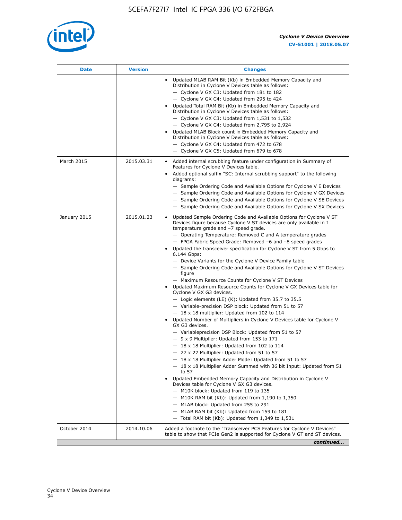

| <b>Date</b>  | <b>Version</b> | <b>Changes</b>                                                                                                                                                                                                                                                                                                                                                                                                                                                                                                                                                                                                                                                                                                                                                                                                                                                                                                                                                                                                                                                                                                                                                                                                                                                                                                                                                                                                                                                                                                                                                                                                                                                                                                |
|--------------|----------------|---------------------------------------------------------------------------------------------------------------------------------------------------------------------------------------------------------------------------------------------------------------------------------------------------------------------------------------------------------------------------------------------------------------------------------------------------------------------------------------------------------------------------------------------------------------------------------------------------------------------------------------------------------------------------------------------------------------------------------------------------------------------------------------------------------------------------------------------------------------------------------------------------------------------------------------------------------------------------------------------------------------------------------------------------------------------------------------------------------------------------------------------------------------------------------------------------------------------------------------------------------------------------------------------------------------------------------------------------------------------------------------------------------------------------------------------------------------------------------------------------------------------------------------------------------------------------------------------------------------------------------------------------------------------------------------------------------------|
|              |                | Updated MLAB RAM Bit (Kb) in Embedded Memory Capacity and<br>Distribution in Cyclone V Devices table as follows:<br>- Cyclone V GX C3: Updated from 181 to 182<br>- Cyclone V GX C4: Updated from 295 to 424<br>Updated Total RAM Bit (Kb) in Embedded Memory Capacity and<br>Distribution in Cyclone V Devices table as follows:<br>- Cyclone V GX C3: Updated from $1,531$ to $1,532$<br>- Cyclone V GX C4: Updated from 2,795 to 2,924<br>Updated MLAB Block count in Embedded Memory Capacity and<br>Distribution in Cyclone V Devices table as follows:<br>- Cyclone V GX C4: Updated from 472 to 678<br>- Cyclone V GX C5: Updated from 679 to 678                                                                                                                                                                                                                                                                                                                                                                                                                                                                                                                                                                                                                                                                                                                                                                                                                                                                                                                                                                                                                                                      |
| March 2015   | 2015.03.31     | Added internal scrubbing feature under configuration in Summary of<br>$\bullet$<br>Features for Cyclone V Devices table.<br>Added optional suffix "SC: Internal scrubbing support" to the following<br>diagrams:<br>- Sample Ordering Code and Available Options for Cyclone V E Devices<br>- Sample Ordering Code and Available Options for Cyclone V GX Devices<br>- Sample Ordering Code and Available Options for Cyclone V SE Devices<br>- Sample Ordering Code and Available Options for Cyclone V SX Devices                                                                                                                                                                                                                                                                                                                                                                                                                                                                                                                                                                                                                                                                                                                                                                                                                                                                                                                                                                                                                                                                                                                                                                                           |
| January 2015 | 2015.01.23     | Updated Sample Ordering Code and Available Options for Cyclone V ST<br>Devices figure because Cyclone V ST devices are only available in I<br>temperature grade and -7 speed grade.<br>- Operating Temperature: Removed C and A temperature grades<br>- FPGA Fabric Speed Grade: Removed -6 and -8 speed grades<br>Updated the transceiver specification for Cyclone V ST from 5 Gbps to<br>6.144 Gbps:<br>- Device Variants for the Cyclone V Device Family table<br>- Sample Ordering Code and Available Options for Cyclone V ST Devices<br>figure<br>- Maximum Resource Counts for Cyclone V ST Devices<br>Updated Maximum Resource Counts for Cyclone V GX Devices table for<br>Cyclone V GX G3 devices.<br>$-$ Logic elements (LE) (K): Updated from 35.7 to 35.5<br>- Variable-precision DSP block: Updated from 51 to 57<br>$-18 \times 18$ multiplier: Updated from 102 to 114<br>Updated Number of Multipliers in Cyclone V Devices table for Cyclone V<br>GX G3 devices.<br>- Variableprecision DSP Block: Updated from 51 to 57<br>$-9x9$ Multiplier: Updated from 153 to 171<br>$-18 \times 18$ Multiplier: Updated from 102 to 114<br>- 27 x 27 Multiplier: Updated from 51 to 57<br>- 18 x 18 Multiplier Adder Mode: Updated from 51 to 57<br>$-18 \times 18$ Multiplier Adder Summed with 36 bit Input: Updated from 51<br>to 57<br>Updated Embedded Memory Capacity and Distribution in Cyclone V<br>Devices table for Cyclone V GX G3 devices.<br>- M10K block: Updated from 119 to 135<br>- M10K RAM bit (Kb): Updated from 1,190 to 1,350<br>- MLAB block: Updated from 255 to 291<br>- MLAB RAM bit (Kb): Updated from 159 to 181<br>$-$ Total RAM bit (Kb): Updated from 1,349 to 1,531 |
| October 2014 | 2014.10.06     | Added a footnote to the "Transceiver PCS Features for Cyclone V Devices"<br>table to show that PCIe Gen2 is supported for Cyclone V GT and ST devices.                                                                                                                                                                                                                                                                                                                                                                                                                                                                                                                                                                                                                                                                                                                                                                                                                                                                                                                                                                                                                                                                                                                                                                                                                                                                                                                                                                                                                                                                                                                                                        |
|              |                | continued                                                                                                                                                                                                                                                                                                                                                                                                                                                                                                                                                                                                                                                                                                                                                                                                                                                                                                                                                                                                                                                                                                                                                                                                                                                                                                                                                                                                                                                                                                                                                                                                                                                                                                     |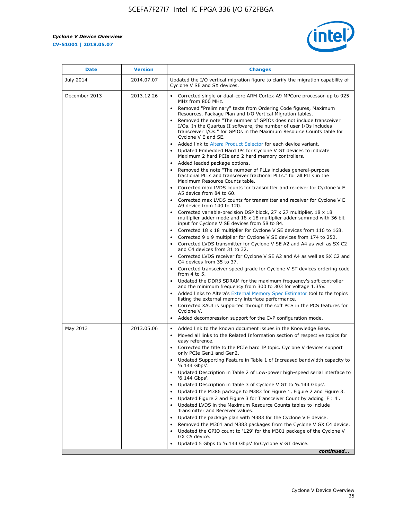r



| <b>Date</b>   | <b>Version</b> | <b>Changes</b>                                                                                                                                                                                                                                                                                                                                                                                                                                                                                                                                                                                                                                                                                                                                                                                                                                                                                                                                                                                                                                                                                                                                                                                                                                                                                                                                                                                                                           |
|---------------|----------------|------------------------------------------------------------------------------------------------------------------------------------------------------------------------------------------------------------------------------------------------------------------------------------------------------------------------------------------------------------------------------------------------------------------------------------------------------------------------------------------------------------------------------------------------------------------------------------------------------------------------------------------------------------------------------------------------------------------------------------------------------------------------------------------------------------------------------------------------------------------------------------------------------------------------------------------------------------------------------------------------------------------------------------------------------------------------------------------------------------------------------------------------------------------------------------------------------------------------------------------------------------------------------------------------------------------------------------------------------------------------------------------------------------------------------------------|
| July 2014     | 2014.07.07     | Updated the I/O vertical migration figure to clarify the migration capability of<br>Cyclone V SE and SX devices.                                                                                                                                                                                                                                                                                                                                                                                                                                                                                                                                                                                                                                                                                                                                                                                                                                                                                                                                                                                                                                                                                                                                                                                                                                                                                                                         |
| December 2013 | 2013.12.26     | Corrected single or dual-core ARM Cortex-A9 MPCore processor-up to 925<br>MHz from 800 MHz.<br>Removed "Preliminary" texts from Ordering Code figures, Maximum<br>$\bullet$<br>Resources, Package Plan and I/O Vertical Migration tables.<br>Removed the note "The number of GPIOs does not include transceiver<br>I/Os. In the Quartus II software, the number of user I/Os includes<br>transceiver I/Os." for GPIOs in the Maximum Resource Counts table for<br>Cyclone V E and SE.<br>Added link to Altera Product Selector for each device variant.<br>• Updated Embedded Hard IPs for Cyclone V GT devices to indicate<br>Maximum 2 hard PCIe and 2 hard memory controllers.<br>• Added leaded package options.<br>Removed the note "The number of PLLs includes general-purpose                                                                                                                                                                                                                                                                                                                                                                                                                                                                                                                                                                                                                                                    |
|               |                | fractional PLLs and transceiver fractional PLLs." for all PLLs in the<br>Maximum Resource Counts table.<br>• Corrected max LVDS counts for transmitter and receiver for Cyclone V E<br>A5 device from 84 to 60.<br>• Corrected max LVDS counts for transmitter and receiver for Cyclone V E<br>A9 device from 140 to 120.<br>Corrected variable-precision DSP block, 27 x 27 multiplier, 18 x 18<br>multiplier adder mode and $18 \times 18$ multiplier adder summed with 36 bit<br>input for Cyclone V SE devices from 58 to 84.<br>Corrected 18 x 18 multiplier for Cyclone V SE devices from 116 to 168.<br>Corrected 9 x 9 multiplier for Cyclone V SE devices from 174 to 252.<br>Corrected LVDS transmitter for Cyclone V SE A2 and A4 as well as SX C2<br>and C4 devices from 31 to 32.<br>Corrected LVDS receiver for Cyclone V SE A2 and A4 as well as SX C2 and<br>C4 devices from 35 to 37.<br>• Corrected transceiver speed grade for Cyclone V ST devices ordering code<br>from 4 to 5.<br>• Updated the DDR3 SDRAM for the maximum frequency's soft controller<br>and the minimum frequency from 300 to 303 for voltage 1.35V.<br>Added links to Altera's External Memory Spec Estimator tool to the topics<br>listing the external memory interface performance.<br>Corrected XAUI is supported through the soft PCS in the PCS features for<br>Cyclone V.<br>Added decompression support for the CvP configuration mode. |
| May 2013      | 2013.05.06     | Added link to the known document issues in the Knowledge Base.<br>$\bullet$<br>Moved all links to the Related Information section of respective topics for<br>$\bullet$<br>easy reference.<br>Corrected the title to the PCIe hard IP topic. Cyclone V devices support<br>only PCIe Gen1 and Gen2.<br>Updated Supporting Feature in Table 1 of Increased bandwidth capacity to<br>$\bullet$<br>'6.144 Gbps'.<br>Updated Description in Table 2 of Low-power high-speed serial interface to<br>'6.144 Gbps'.<br>Updated Description in Table 3 of Cyclone V GT to '6.144 Gbps'.<br>Updated the M386 package to M383 for Figure 1, Figure 2 and Figure 3.<br>$\bullet$<br>Updated Figure 2 and Figure 3 for Transceiver Count by adding 'F : 4'.<br>٠<br>Updated LVDS in the Maximum Resource Counts tables to include<br>Transmitter and Receiver values.<br>Updated the package plan with M383 for the Cyclone V E device.<br>Removed the M301 and M383 packages from the Cyclone V GX C4 device.<br>Updated the GPIO count to '129' for the M301 package of the Cyclone V<br>GX C5 device.<br>Updated 5 Gbps to '6.144 Gbps' for Cyclone V GT device.<br>continued                                                                                                                                                                                                                                                                      |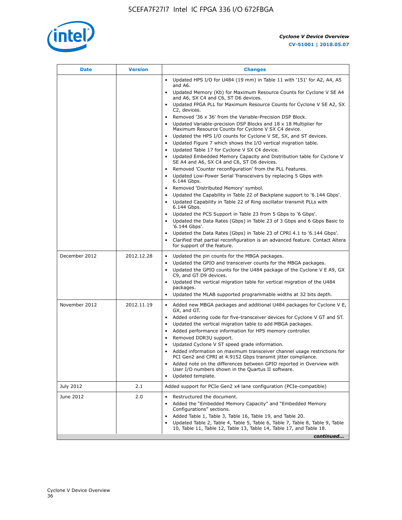

| <b>Date</b>   | <b>Version</b> | <b>Changes</b>                                                                                                                                      |
|---------------|----------------|-----------------------------------------------------------------------------------------------------------------------------------------------------|
|               |                | Updated HPS I/O for U484 (19 mm) in Table 11 with '151' for A2, A4, A5<br>and A6.                                                                   |
|               |                | Updated Memory (Kb) for Maximum Resource Counts for Cyclone V SE A4<br>and A6, SX C4 and C6, ST D6 devices.                                         |
|               |                | Updated FPGA PLL for Maximum Resource Counts for Cyclone V SE A2, SX<br>C2, devices.                                                                |
|               |                | Removed '36 x 36' from the Variable-Precision DSP Block.                                                                                            |
|               |                | Updated Variable-precision DSP Blocks and 18 x 18 Multiplier for<br>Maximum Resource Counts for Cyclone V SX C4 device.                             |
|               |                | Updated the HPS I/O counts for Cyclone V SE, SX, and ST devices.<br>$\bullet$                                                                       |
|               |                | Updated Figure 7 which shows the I/O vertical migration table.<br>Updated Table 17 for Cyclone V SX C4 device.<br>$\bullet$                         |
|               |                | • Updated Embedded Memory Capacity and Distribution table for Cyclone V<br>SE A4 and A6, SX C4 and C6, ST D6 devices.                               |
|               |                | Removed 'Counter reconfiguration' from the PLL Features.                                                                                            |
|               |                | Updated Low-Power Serial Transceivers by replacing 5 Gbps with<br>6.144 Gbps.                                                                       |
|               |                | Removed 'Distributed Memory' symbol.                                                                                                                |
|               |                | Updated the Capability in Table 22 of Backplane support to '6.144 Gbps'.                                                                            |
|               |                | Updated Capability in Table 22 of Ring oscillator transmit PLLs with<br>6.144 Gbps.                                                                 |
|               |                | Updated the PCS Support in Table 23 from 5 Gbps to '6 Gbps'.                                                                                        |
|               |                | Updated the Data Rates (Gbps) in Table 23 of 3 Gbps and 6 Gbps Basic to<br>$\bullet$<br>'6.144 Gbps'.                                               |
|               |                | Updated the Data Rates (Gbps) in Table 23 of CPRI 4.1 to '6.144 Gbps'.                                                                              |
|               |                | Clarified that partial reconfiguration is an advanced feature. Contact Altera<br>for support of the feature.                                        |
| December 2012 | 2012.12.28     | Updated the pin counts for the MBGA packages.                                                                                                       |
|               |                | Updated the GPIO and transceiver counts for the MBGA packages.                                                                                      |
|               |                | Updated the GPIO counts for the U484 package of the Cyclone V E A9, GX<br>C9, and GT D9 devices.                                                    |
|               |                | Updated the vertical migration table for vertical migration of the U484                                                                             |
|               |                | packages.<br>Updated the MLAB supported programmable widths at 32 bits depth.                                                                       |
| November 2012 | 2012.11.19     | • Added new MBGA packages and additional U484 packages for Cyclone V E,                                                                             |
|               |                | GX, and GT.                                                                                                                                         |
|               |                | Added ordering code for five-transceiver devices for Cyclone V GT and ST.                                                                           |
|               |                | Updated the vertical migration table to add MBGA packages.<br>Added performance information for HPS memory controller.                              |
|               |                | Removed DDR3U support.<br>٠                                                                                                                         |
|               |                | Updated Cyclone V ST speed grade information.                                                                                                       |
|               |                | Added information on maximum transceiver channel usage restrictions for<br>PCI Gen2 and CPRI at 4.9152 Gbps transmit jitter compliance.             |
|               |                | Added note on the differences between GPIO reported in Overview with                                                                                |
|               |                | User I/O numbers shown in the Quartus II software.                                                                                                  |
|               |                | Updated template.                                                                                                                                   |
| July 2012     | 2.1            | Added support for PCIe Gen2 x4 lane configuration (PCIe-compatible)                                                                                 |
| June 2012     | 2.0            | Restructured the document.                                                                                                                          |
|               |                | Added the "Embedded Memory Capacity" and "Embedded Memory<br>Configurations" sections.                                                              |
|               |                | Added Table 1, Table 3, Table 16, Table 19, and Table 20.<br>٠                                                                                      |
|               |                | Updated Table 2, Table 4, Table 5, Table 6, Table 7, Table 8, Table 9, Table<br>10, Table 11, Table 12, Table 13, Table 14, Table 17, and Table 18. |
|               |                | continued                                                                                                                                           |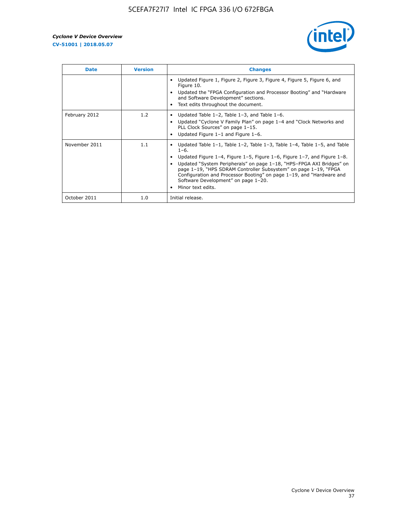

| <b>Date</b>   | <b>Version</b> | <b>Changes</b>                                                                                                                                                                                                                                                                                                                                                                                                                                                |
|---------------|----------------|---------------------------------------------------------------------------------------------------------------------------------------------------------------------------------------------------------------------------------------------------------------------------------------------------------------------------------------------------------------------------------------------------------------------------------------------------------------|
|               |                | Updated Figure 1, Figure 2, Figure 3, Figure 4, Figure 5, Figure 6, and<br>Figure 10.<br>Updated the "FPGA Configuration and Processor Booting" and "Hardware"<br>and Software Development" sections.<br>Text edits throughout the document.                                                                                                                                                                                                                  |
| February 2012 | 1.2            | Updated Table $1-2$ , Table $1-3$ , and Table $1-6$ .<br>Updated "Cyclone V Family Plan" on page 1-4 and "Clock Networks and<br>PLL Clock Sources" on page 1-15.<br>Updated Figure 1-1 and Figure 1-6.                                                                                                                                                                                                                                                        |
| November 2011 | 1.1            | Updated Table $1-1$ , Table $1-2$ , Table $1-3$ , Table $1-4$ , Table $1-5$ , and Table<br>$1 - 6.$<br>Updated Figure 1-4, Figure 1-5, Figure 1-6, Figure 1-7, and Figure 1-8.<br>Updated "System Peripherals" on page 1-18, "HPS-FPGA AXI Bridges" on<br>page 1-19, "HPS SDRAM Controller Subsystem" on page 1-19, "FPGA<br>Configuration and Processor Booting" on page 1-19, and "Hardware and<br>Software Development" on page 1-20.<br>Minor text edits. |
| October 2011  | 1.0            | Initial release.                                                                                                                                                                                                                                                                                                                                                                                                                                              |